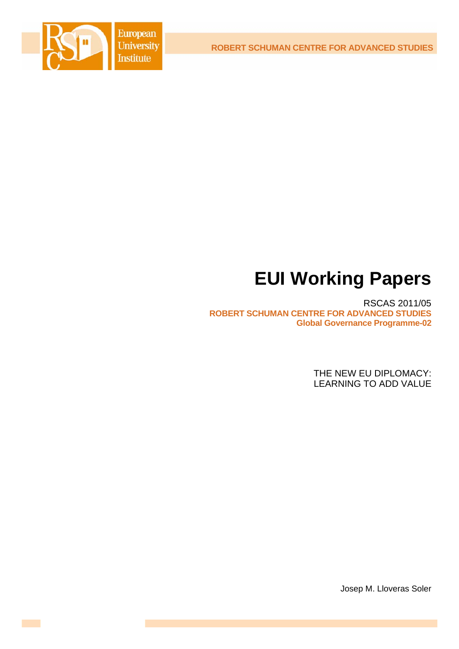**ROBERT SCHUMAN CENTRE FOR ADVANCED STUDIES**



# **EUI Working Papers**

RSCAS 2011/05 **ROBERT SCHUMAN CENTRE FOR ADVANCED STUDIES Global Governance Programme-02**

> THE NEW EU DIPLOMACY: LEARNING TO ADD VALUE

> > Josep M. Lloveras Soler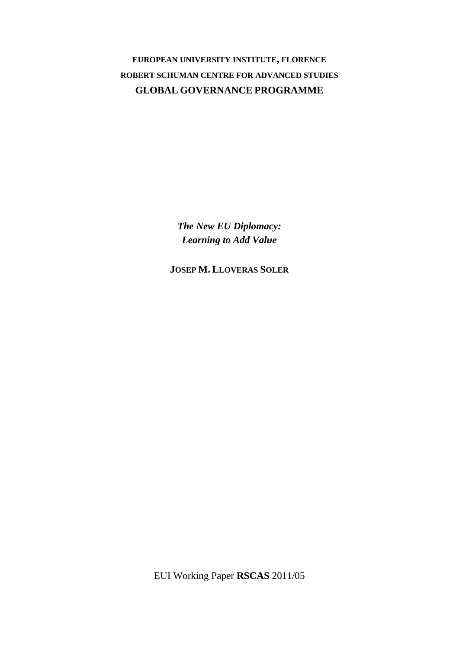**EUROPEAN UNIVERSITY INSTITUTE, FLORENCE ROBERT SCHUMAN CENTRE FOR ADVANCED STUDIES GLOBAL GOVERNANCE PROGRAMME**

> *The New EU Diplomacy: Learning to Add Value*

**JOSEP M. LLOVERAS SOLER**

EUI Working Paper **RSCAS** 2011/05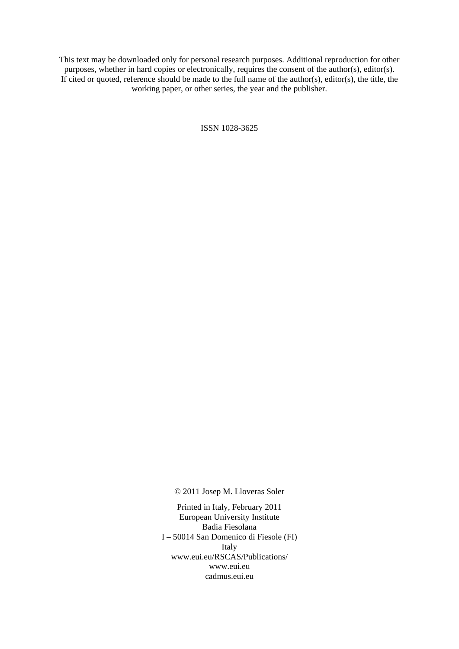This text may be downloaded only for personal research purposes. Additional reproduction for other purposes, whether in hard copies or electronically, requires the consent of the author(s), editor(s). If cited or quoted, reference should be made to the full name of the author(s), editor(s), the title, the working paper, or other series, the year and the publisher.

ISSN 1028-3625

© 2011 Josep M. Lloveras Soler

Printed in Italy, February 2011 European University Institute Badia Fiesolana I – 50014 San Domenico di Fiesole (FI) Italy [www.eui.eu/RSCAS/Publications/](http://www.eui.eu/RSCAS/Publications/)  [www.eui.eu](http://www.eui.eu)  cadmus.eui.eu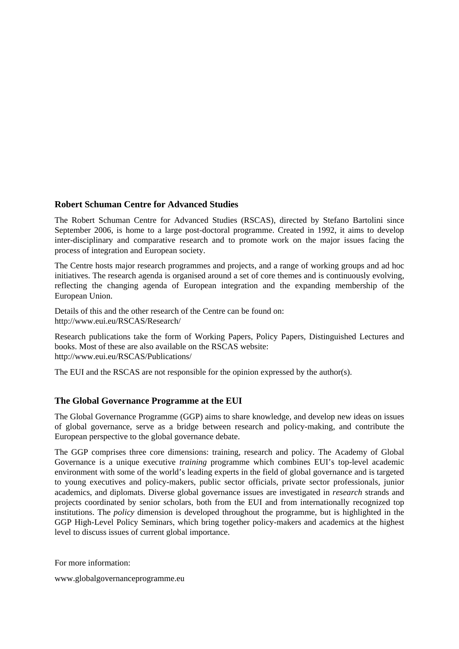# **Robert Schuman Centre for Advanced Studies**

The Robert Schuman Centre for Advanced Studies (RSCAS), directed by Stefano Bartolini since September 2006, is home to a large post-doctoral programme. Created in 1992, it aims to develop inter-disciplinary and comparative research and to promote work on the major issues facing the process of integration and European society.

The Centre hosts major research programmes and projects, and a range of working groups and ad hoc initiatives. The research agenda is organised around a set of core themes and is continuously evolving, reflecting the changing agenda of European integration and the expanding membership of the European Union.

Details of this and the other research of the Centre can be found on: <http://www.eui.eu/RSCAS/Research/>

Research publications take the form of Working Papers, Policy Papers, Distinguished Lectures and books. Most of these are also available on the RSCAS website: <http://www.eui.eu/RSCAS/Publications/>

The EUI and the RSCAS are not responsible for the opinion expressed by the author(s).

# **The Global Governance Programme at the EUI**

The Global Governance Programme (GGP) aims to share knowledge, and develop new ideas on issues of global governance, serve as a bridge between research and policy-making, and contribute the European perspective to the global governance debate.

The GGP comprises three core dimensions: training, research and policy. The Academy of Global Governance is a unique executive *training* programme which combines EUI's top-level academic environment with some of the world's leading experts in the field of global governance and is targeted to young executives and policy-makers, public sector officials, private sector professionals, junior academics, and diplomats. Diverse global governance issues are investigated in *research* strands and projects coordinated by senior scholars, both from the EUI and from internationally recognized top institutions. The *policy* dimension is developed throughout the programme, but is highlighted in the GGP High-Level Policy Seminars, which bring together policy-makers and academics at the highest level to discuss issues of current global importance.

For more information:

[www.globalgovernanceprogramme.eu](http://www.globalgovernanceprogramme.eu)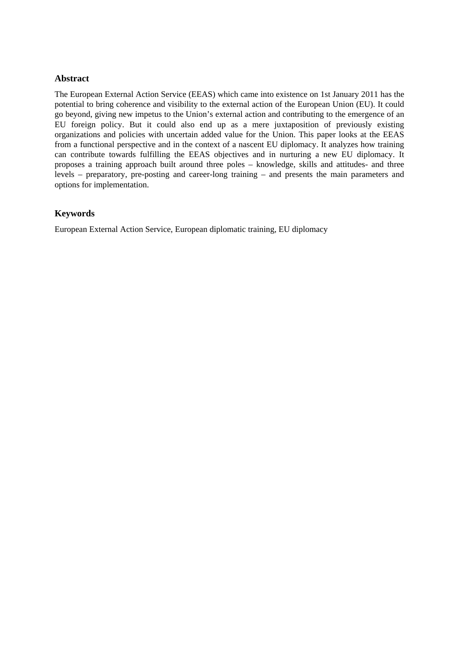## **Abstract**

The European External Action Service (EEAS) which came into existence on 1st January 2011 has the potential to bring coherence and visibility to the external action of the European Union (EU). It could go beyond, giving new impetus to the Union's external action and contributing to the emergence of an EU foreign policy. But it could also end up as a mere juxtaposition of previously existing organizations and policies with uncertain added value for the Union. This paper looks at the EEAS from a functional perspective and in the context of a nascent EU diplomacy. It analyzes how training can contribute towards fulfilling the EEAS objectives and in nurturing a new EU diplomacy. It proposes a training approach built around three poles – knowledge, skills and attitudes- and three levels – preparatory, pre-posting and career-long training – and presents the main parameters and options for implementation.

# **Keywords**

European External Action Service, European diplomatic training, EU diplomacy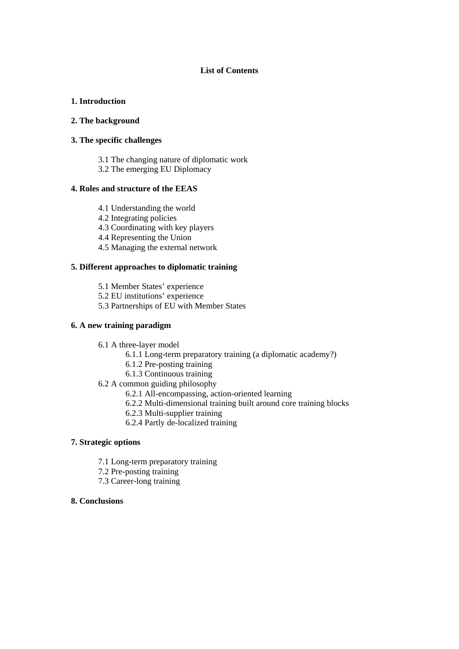## **List of Contents**

## **1. Introduction**

## **2. The background**

## **3. The specific challenges**

3.1 The changing nature of diplomatic work

3.2 The emerging EU Diplomacy

## **4. Roles and structure of the EEAS**

- 4.1 Understanding the world
- 4.2 Integrating policies
- 4.3 Coordinating with key players
- 4.4 Representing the Union
- 4.5 Managing the external network

# **5. Different approaches to diplomatic training**

- 5.1 Member States' experience
- 5.2 EU institutions' experience
- 5.3 Partnerships of EU with Member States

## **6. A new training paradigm**

- 6.1 A three-layer model
	- 6.1.1 Long-term preparatory training (a diplomatic academy?)
	- 6.1.2 Pre-posting training
	- 6.1.3 Continuous training
- 6.2 A common guiding philosophy
	- 6.2.1 All-encompassing, action-oriented learning
	- 6.2.2 Multi-dimensional training built around core training blocks
	- 6.2.3 Multi-supplier training
	- 6.2.4 Partly de-localized training

## **7. Strategic options**

- 7.1 Long-term preparatory training
- 7.2 Pre-posting training
- 7.3 Career-long training

## **8. Conclusions**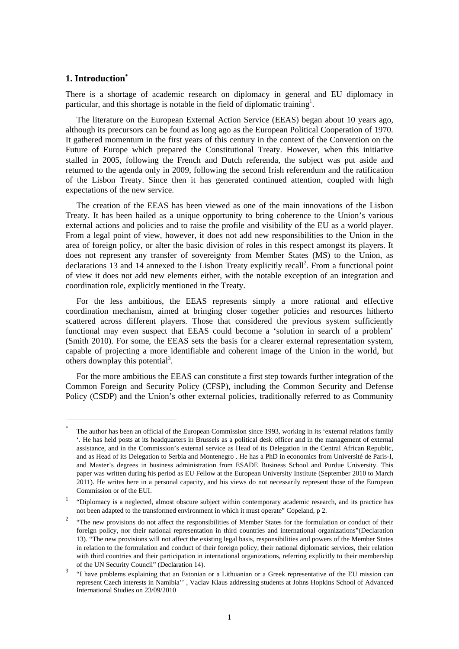## **1. Introduction\***

-

There is a shortage of academic research on diplomacy in general and EU diplomacy in particular, and this shortage is notable in the field of diplomatic training<sup>1</sup>.

The literature on the European External Action Service (EEAS) began about 10 years ago, although its precursors can be found as long ago as the European Political Cooperation of 1970. It gathered momentum in the first years of this century in the context of the Convention on the Future of Europe which prepared the Constitutional Treaty. However, when this initiative stalled in 2005, following the French and Dutch referenda, the subject was put aside and returned to the agenda only in 2009, following the second Irish referendum and the ratification of the Lisbon Treaty. Since then it has generated continued attention, coupled with high expectations of the new service.

The creation of the EEAS has been viewed as one of the main innovations of the Lisbon Treaty. It has been hailed as a unique opportunity to bring coherence to the Union's various external actions and policies and to raise the profile and visibility of the EU as a world player. From a legal point of view, however, it does not add new responsibilities to the Union in the area of foreign policy, or alter the basic division of roles in this respect amongst its players. It does not represent any transfer of sovereignty from Member States (MS) to the Union, as declarations 13 and 14 annexed to the Lisbon Treaty explicitly recall<sup>2</sup>. From a functional point of view it does not add new elements either, with the notable exception of an integration and coordination role, explicitly mentioned in the Treaty.

For the less ambitious, the EEAS represents simply a more rational and effective coordination mechanism, aimed at bringing closer together policies and resources hitherto scattered across different players. Those that considered the previous system sufficiently functional may even suspect that EEAS could become a 'solution in search of a problem' (Smith 2010). For some, the EEAS sets the basis for a clearer external representation system, capable of projecting a more identifiable and coherent image of the Union in the world, but others downplay this potential<sup>3</sup>.

For the more ambitious the EEAS can constitute a first step towards further integration of the Common Foreign and Security Policy (CFSP), including the Common Security and Defense Policy (CSDP) and the Union's other external policies, traditionally referred to as Community

<sup>\*</sup> The author has been an official of the European Commission since 1993, working in its 'external relations family '. He has held posts at its headquarters in Brussels as a political desk officer and in the management of external assistance, and in the Commission's external service as Head of its Delegation in the Central African Republic, and as Head of its Delegation to Serbia and Montenegro . He has a PhD in economics from Université de Paris-I, and Master's degrees in business administration from ESADE Business School and Purdue University. This paper was written during his period as EU Fellow at the European University Institute (September 2010 to March 2011). He writes here in a personal capacity, and his views do not necessarily represent those of the European Commission or of the EUI.

<sup>1</sup> "Diplomacy is a neglected, almost obscure subject within contemporary academic research, and its practice has not been adapted to the transformed environment in which it must operate" Copeland, p 2.

<sup>2</sup> "The new provisions do not affect the responsibilities of Member States for the formulation or conduct of their foreign policy, nor their national representation in third countries and international organizations"(Declaration 13). "The new provisions will not affect the existing legal basis, responsibilities and powers of the Member States in relation to the formulation and conduct of their foreign policy, their national diplomatic services, their relation with third countries and their participation in international organizations, referring explicitly to their membership of the UN Security Council" (Declaration 14).

<sup>3</sup> "I have problems explaining that an Estonian or a Lithuanian or a Greek representative of the EU mission can represent Czech interests in Namibia'' , Vaclav Klaus addressing students at Johns Hopkins School of Advanced International Studies on 23/09/2010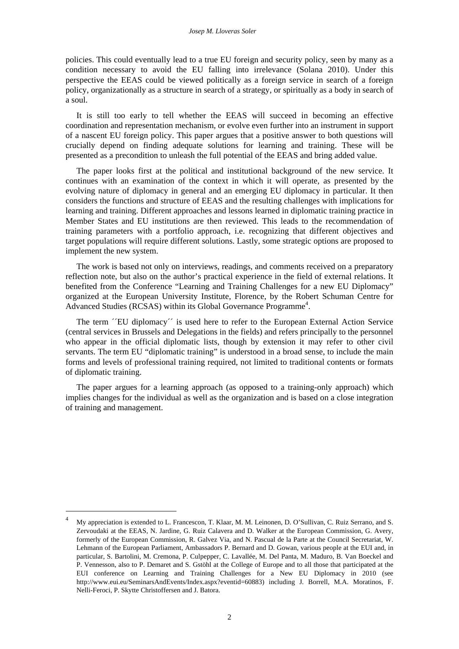policies. This could eventually lead to a true EU foreign and security policy, seen by many as a condition necessary to avoid the EU falling into irrelevance (Solana 2010). Under this perspective the EEAS could be viewed politically as a foreign service in search of a foreign policy, organizationally as a structure in search of a strategy, or spiritually as a body in search of a soul.

It is still too early to tell whether the EEAS will succeed in becoming an effective coordination and representation mechanism, or evolve even further into an instrument in support of a nascent EU foreign policy. This paper argues that a positive answer to both questions will crucially depend on finding adequate solutions for learning and training. These will be presented as a precondition to unleash the full potential of the EEAS and bring added value.

The paper looks first at the political and institutional background of the new service. It continues with an examination of the context in which it will operate, as presented by the evolving nature of diplomacy in general and an emerging EU diplomacy in particular. It then considers the functions and structure of EEAS and the resulting challenges with implications for learning and training. Different approaches and lessons learned in diplomatic training practice in Member States and EU institutions are then reviewed. This leads to the recommendation of training parameters with a portfolio approach, i.e. recognizing that different objectives and target populations will require different solutions. Lastly, some strategic options are proposed to implement the new system.

The work is based not only on interviews, readings, and comments received on a preparatory reflection note, but also on the author's practical experience in the field of external relations. It benefited from the Conference "Learning and Training Challenges for a new EU Diplomacy" organized at the European University Institute, Florence, by the Robert Schuman Centre for Advanced Studies (RCSAS) within its Global Governance Programme<sup>4</sup>.

The term *<sup>* $\sim$ *</sup>EU* diplomacy<sup> $\sim$ </sup> is used here to refer to the European External Action Service (central services in Brussels and Delegations in the fields) and refers principally to the personnel who appear in the official diplomatic lists, though by extension it may refer to other civil servants. The term EU "diplomatic training" is understood in a broad sense, to include the main forms and levels of professional training required, not limited to traditional contents or formats of diplomatic training.

The paper argues for a learning approach (as opposed to a training-only approach) which implies changes for the individual as well as the organization and is based on a close integration of training and management.

<sup>4</sup> My appreciation is extended to L. Francescon, T. Klaar, M. M. Leinonen, D. O'Sullivan, C. Ruiz Serrano, and S. Zervoudaki at the EEAS, N. Jardine, G. Ruiz Calavera and D. Walker at the European Commission, G. Avery, formerly of the European Commission, R. Galvez Via, and N. Pascual de la Parte at the Council Secretariat, W. Lehmann of the European Parliament, Ambassadors P. Bernard and D. Gowan, various people at the EUI and, in particular, S. Bartolini, M. Cremona, P. Culpepper, C. Lavallée, M. Del Panta, M. Maduro, B. Van Boeckel and P. Vennesson, also to P. Demaret and S. Gstöhl at the College of Europe and to all those that participated at the EUI conference on Learning and Training Challenges for a New EU Diplomacy in 2010 (see [http://www.eui.eu/SeminarsAndEvents/Index.aspx?eventid=60883\)](http://www.eui.eu/SeminarsAndEvents/Index.aspx?eventid=60883) including J. Borrell, M.A. Moratinos, F. Nelli-Feroci, P. Skytte Christoffersen and J. Batora.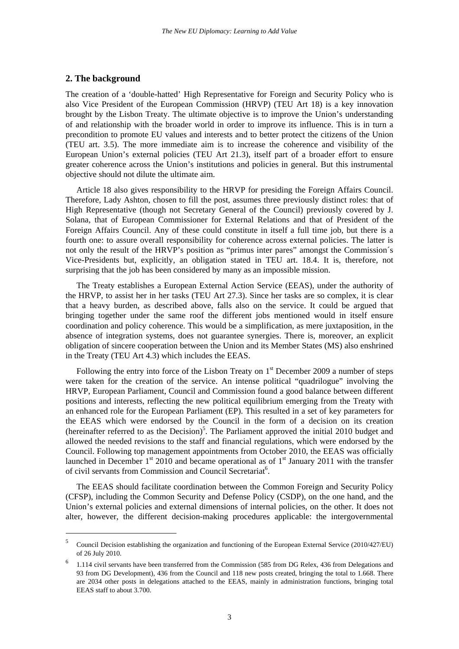## **2. The background**

-

The creation of a 'double-hatted' High Representative for Foreign and Security Policy who is also Vice President of the European Commission (HRVP) (TEU Art 18) is a key innovation brought by the Lisbon Treaty. The ultimate objective is to improve the Union's understanding of and relationship with the broader world in order to improve its influence. This is in turn a precondition to promote EU values and interests and to better protect the citizens of the Union (TEU art. 3.5). The more immediate aim is to increase the coherence and visibility of the European Union's external policies (TEU Art 21.3), itself part of a broader effort to ensure greater coherence across the Union's institutions and policies in general. But this instrumental objective should not dilute the ultimate aim.

Article 18 also gives responsibility to the HRVP for presiding the Foreign Affairs Council. Therefore, Lady Ashton, chosen to fill the post, assumes three previously distinct roles: that of High Representative (though not Secretary General of the Council) previously covered by J. Solana, that of European Commissioner for External Relations and that of President of the Foreign Affairs Council. Any of these could constitute in itself a full time job, but there is a fourth one: to assure overall responsibility for coherence across external policies. The latter is not only the result of the HRVP's position as "primus inter pares" amongst the Commission´s Vice-Presidents but, explicitly, an obligation stated in TEU art. 18.4. It is, therefore, not surprising that the job has been considered by many as an impossible mission.

The Treaty establishes a European External Action Service (EEAS), under the authority of the HRVP, to assist her in her tasks (TEU Art 27.3). Since her tasks are so complex, it is clear that a heavy burden, as described above, falls also on the service. It could be argued that bringing together under the same roof the different jobs mentioned would in itself ensure coordination and policy coherence. This would be a simplification, as mere juxtaposition, in the absence of integration systems, does not guarantee synergies. There is, moreover, an explicit obligation of sincere cooperation between the Union and its Member States (MS) also enshrined in the Treaty (TEU Art 4.3) which includes the EEAS.

Following the entry into force of the Lisbon Treaty on 1<sup>st</sup> December 2009 a number of steps were taken for the creation of the service. An intense political "quadrilogue" involving the HRVP, European Parliament, Council and Commission found a good balance between different positions and interests, reflecting the new political equilibrium emerging from the Treaty with an enhanced role for the European Parliament (EP). This resulted in a set of key parameters for the EEAS which were endorsed by the Council in the form of a decision on its creation (hereinafter referred to as the Decision)<sup>5</sup>. The Parliament approved the initial 2010 budget and allowed the needed revisions to the staff and financial regulations, which were endorsed by the Council. Following top management appointments from October 2010, the EEAS was officially launched in December  $1<sup>st</sup>$  2010 and became operational as of  $1<sup>st</sup>$  January 2011 with the transfer of civil servants from Commission and Council Secretariat<sup>6</sup>.

The EEAS should facilitate coordination between the Common Foreign and Security Policy (CFSP), including the Common Security and Defense Policy (CSDP), on the one hand, and the Union's external policies and external dimensions of internal policies, on the other. It does not alter, however, the different decision-making procedures applicable: the intergovernmental

<sup>5</sup> Council Decision establishing the organization and functioning of the European External Service (2010/427/EU) of 26 July 2010.

<sup>6</sup> 1.114 civil servants have been transferred from the Commission (585 from DG Relex, 436 from Delegations and 93 from DG Development), 436 from the Council and 118 new posts created, bringing the total to 1.668. There are 2034 other posts in delegations attached to the EEAS, mainly in administration functions, bringing total EEAS staff to about 3.700.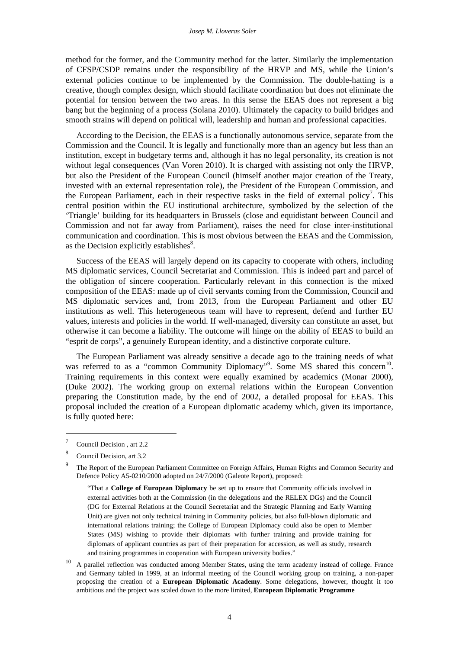method for the former, and the Community method for the latter. Similarly the implementation of CFSP/CSDP remains under the responsibility of the HRVP and MS, while the Union's external policies continue to be implemented by the Commission. The double-hatting is a creative, though complex design, which should facilitate coordination but does not eliminate the potential for tension between the two areas. In this sense the EEAS does not represent a big bang but the beginning of a process (Solana 2010). Ultimately the capacity to build bridges and smooth strains will depend on political will, leadership and human and professional capacities.

According to the Decision, the EEAS is a functionally autonomous service, separate from the Commission and the Council. It is legally and functionally more than an agency but less than an institution, except in budgetary terms and, although it has no legal personality, its creation is not without legal consequences (Van Voren 2010). It is charged with assisting not only the HRVP, but also the President of the European Council (himself another major creation of the Treaty, invested with an external representation role), the President of the European Commission, and the European Parliament, each in their respective tasks in the field of external policy<sup>7</sup>. This central position within the EU institutional architecture, symbolized by the selection of the 'Triangle' building for its headquarters in Brussels (close and equidistant between Council and Commission and not far away from Parliament), raises the need for close inter-institutional communication and coordination. This is most obvious between the EEAS and the Commission, as the Decision explicitly establishes $8$ .

Success of the EEAS will largely depend on its capacity to cooperate with others, including MS diplomatic services, Council Secretariat and Commission. This is indeed part and parcel of the obligation of sincere cooperation. Particularly relevant in this connection is the mixed composition of the EEAS: made up of civil servants coming from the Commission, Council and MS diplomatic services and, from 2013, from the European Parliament and other EU institutions as well. This heterogeneous team will have to represent, defend and further EU values, interests and policies in the world. If well-managed, diversity can constitute an asset, but otherwise it can become a liability. The outcome will hinge on the ability of EEAS to build an "esprit de corps", a genuinely European identity, and a distinctive corporate culture.

The European Parliament was already sensitive a decade ago to the training needs of what was referred to as a "common Community Diplomacy"<sup>9</sup>. Some MS shared this concern<sup>10</sup>. Training requirements in this context were equally examined by academics (Monar 2000), (Duke 2002). The working group on external relations within the European Convention preparing the Constitution made, by the end of 2002, a detailed proposal for EEAS. This proposal included the creation of a European diplomatic academy which, given its importance, is fully quoted here:

<sup>7</sup> Council Decision , art 2.2

<sup>8</sup> Council Decision, art 3.2

<sup>9</sup> The Report of the European Parliament Committee on Foreign Affairs, Human Rights and Common Security and Defence Policy A5-0210/2000 adopted on 24/7/2000 (Galeote Report), proposed:

<sup>&</sup>quot;That a **College of European Diplomacy** be set up to ensure that Community officials involved in external activities both at the Commission (in the delegations and the RELEX DGs) and the Council (DG for External Relations at the Council Secretariat and the Strategic Planning and Early Warning Unit) are given not only technical training in Community policies, but also full-blown diplomatic and international relations training; the College of European Diplomacy could also be open to Member States (MS) wishing to provide their diplomats with further training and provide training for diplomats of applicant countries as part of their preparation for accession, as well as study, research and training programmes in cooperation with European university bodies."

<sup>&</sup>lt;sup>10</sup> A parallel reflection was conducted among Member States, using the term academy instead of college. France and Germany tabled in 1999, at an informal meeting of the Council working group on training, a non-paper proposing the creation of a **European Diplomatic Academy**. Some delegations, however, thought it too ambitious and the project was scaled down to the more limited, **European Diplomatic Programme**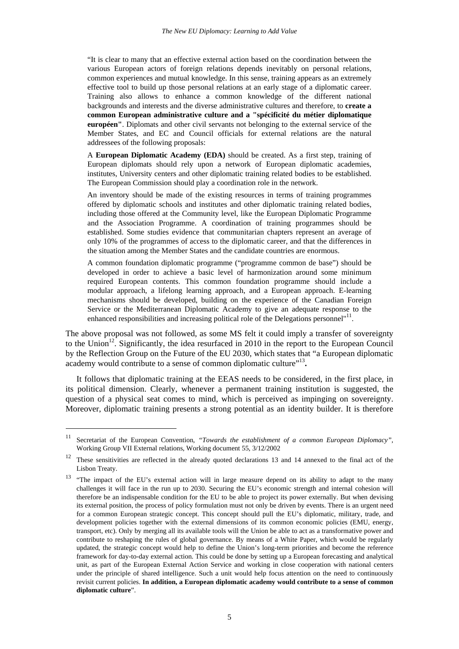"It is clear to many that an effective external action based on the coordination between the various European actors of foreign relations depends inevitably on personal relations, common experiences and mutual knowledge. In this sense, training appears as an extremely effective tool to build up those personal relations at an early stage of a diplomatic career. Training also allows to enhance a common knowledge of the different national backgrounds and interests and the diverse administrative cultures and therefore, to **create a common European administrative culture and a "spécificité du métier diplomatique européen"**. Diplomats and other civil servants not belonging to the external service of the Member States, and EC and Council officials for external relations are the natural addressees of the following proposals:

A **European Diplomatic Academy (EDA)** should be created. As a first step, training of European diplomats should rely upon a network of European diplomatic academies, institutes, University centers and other diplomatic training related bodies to be established. The European Commission should play a coordination role in the network.

An inventory should be made of the existing resources in terms of training programmes offered by diplomatic schools and institutes and other diplomatic training related bodies, including those offered at the Community level, like the European Diplomatic Programme and the Association Programme. A coordination of training programmes should be established. Some studies evidence that communitarian chapters represent an average of only 10% of the programmes of access to the diplomatic career, and that the differences in the situation among the Member States and the candidate countries are enormous.

A common foundation diplomatic programme ("programme common de base") should be developed in order to achieve a basic level of harmonization around some minimum required European contents. This common foundation programme should include a modular approach, a lifelong learning approach, and a European approach. E-learning mechanisms should be developed, building on the experience of the Canadian Foreign Service or the Mediterranean Diplomatic Academy to give an adequate response to the enhanced responsibilities and increasing political role of the Delegations personnel"<sup>11</sup>.

The above proposal was not followed, as some MS felt it could imply a transfer of sovereignty to the Union<sup>12</sup>. Significantly, the idea resurfaced in 2010 in the report to the European Council by the Reflection Group on the Future of the EU 2030, which states that "a European diplomatic academy would contribute to a sense of common diplomatic culture"<sup>13</sup>.

It follows that diplomatic training at the EEAS needs to be considered, in the first place, in its political dimension. Clearly, whenever a permanent training institution is suggested, the question of a physical seat comes to mind, which is perceived as impinging on sovereignty. Moreover, diplomatic training presents a strong potential as an identity builder. It is therefore

<sup>11</sup> Secretariat of the European Convention, *"Towards the establishment of a common European Diplomacy"*, Working Group VII External relations, Working document 55, 3/12/2002

 $12$  These sensitivities are reflected in the already quoted declarations 13 and 14 annexed to the final act of the Lisbon Treaty.

<sup>&</sup>lt;sup>13</sup> "The impact of the EU's external action will in large measure depend on its ability to adapt to the many challenges it will face in the run up to 2030. Securing the EU's economic strength and internal cohesion will therefore be an indispensable condition for the EU to be able to project its power externally. But when devising its external position, the process of policy formulation must not only be driven by events. There is an urgent need for a common European strategic concept. This concept should pull the EU's diplomatic, military, trade, and development policies together with the external dimensions of its common economic policies (EMU, energy, transport, etc). Only by merging all its available tools will the Union be able to act as a transformative power and contribute to reshaping the rules of global governance. By means of a White Paper, which would be regularly updated, the strategic concept would help to define the Union's long-term priorities and become the reference framework for day-to-day external action. This could be done by setting up a European forecasting and analytical unit, as part of the European External Action Service and working in close cooperation with national centers under the principle of shared intelligence. Such a unit would help focus attention on the need to continuously revisit current policies. **In addition, a European diplomatic academy would contribute to a sense of common diplomatic culture**".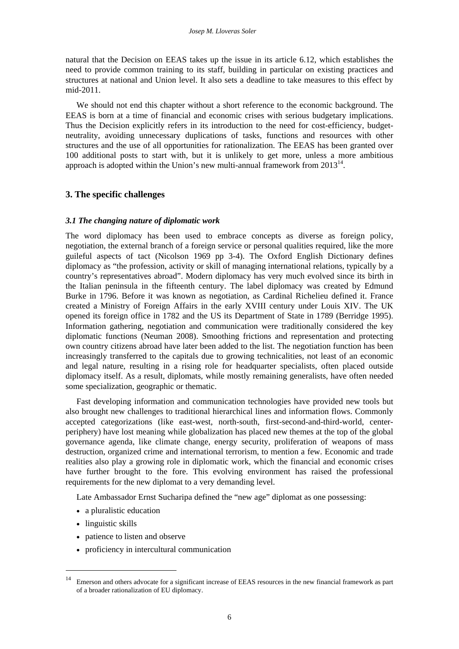natural that the Decision on EEAS takes up the issue in its article 6.12, which establishes the need to provide common training to its staff, building in particular on existing practices and structures at national and Union level. It also sets a deadline to take measures to this effect by mid-2011.

We should not end this chapter without a short reference to the economic background. The EEAS is born at a time of financial and economic crises with serious budgetary implications. Thus the Decision explicitly refers in its introduction to the need for cost-efficiency, budgetneutrality, avoiding unnecessary duplications of tasks, functions and resources with other structures and the use of all opportunities for rationalization. The EEAS has been granted over 100 additional posts to start with, but it is unlikely to get more, unless a more ambitious approach is adopted within the Union's new multi-annual framework from  $2013^{14}$ .

## **3. The specific challenges**

## *3.1 The changing nature of diplomatic work*

The word diplomacy has been used to embrace concepts as diverse as foreign policy, negotiation, the external branch of a foreign service or personal qualities required, like the more guileful aspects of tact (Nicolson 1969 pp 3-4). The Oxford English Dictionary defines diplomacy as "the profession, activity or skill of managing international relations, typically by a country's representatives abroad". Modern diplomacy has very much evolved since its birth in the Italian peninsula in the fifteenth century. The label diplomacy was created by Edmund Burke in 1796. Before it was known as negotiation, as Cardinal Richelieu defined it. France created a Ministry of Foreign Affairs in the early XVIII century under Louis XIV. The UK opened its foreign office in 1782 and the US its Department of State in 1789 (Berridge 1995). Information gathering, negotiation and communication were traditionally considered the key diplomatic functions (Neuman 2008). Smoothing frictions and representation and protecting own country citizens abroad have later been added to the list. The negotiation function has been increasingly transferred to the capitals due to growing technicalities, not least of an economic and legal nature, resulting in a rising role for headquarter specialists, often placed outside diplomacy itself. As a result, diplomats, while mostly remaining generalists, have often needed some specialization, geographic or thematic.

Fast developing information and communication technologies have provided new tools but also brought new challenges to traditional hierarchical lines and information flows. Commonly accepted categorizations (like east-west, north-south, first-second-and-third-world, centerperiphery) have lost meaning while globalization has placed new themes at the top of the global governance agenda, like climate change, energy security, proliferation of weapons of mass destruction, organized crime and international terrorism, to mention a few. Economic and trade realities also play a growing role in diplomatic work, which the financial and economic crises have further brought to the fore. This evolving environment has raised the professional requirements for the new diplomat to a very demanding level.

Late Ambassador Ernst Sucharipa defined the "new age" diplomat as one possessing:

- a pluralistic education
- linguistic skills

- patience to listen and observe
- proficiency in intercultural communication

<sup>&</sup>lt;sup>14</sup> Emerson and others advocate for a significant increase of EEAS resources in the new financial framework as part of a broader rationalization of EU diplomacy.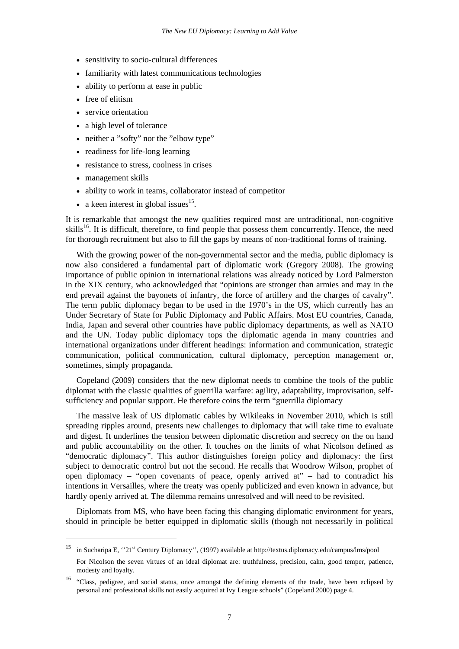- sensitivity to socio-cultural differences
- familiarity with latest communications technologies
- ability to perform at ease in public
- free of elitism
- service orientation
- a high level of tolerance
- neither a "softy" nor the "elbow type"
- readiness for life-long learning
- resistance to stress, coolness in crises
- management skills

1

- ability to work in teams, collaborator instead of competitor
- a keen interest in global issues $^{15}$ .

It is remarkable that amongst the new qualities required most are untraditional, non-cognitive skills<sup>16</sup>. It is difficult, therefore, to find people that possess them concurrently. Hence, the need for thorough recruitment but also to fill the gaps by means of non-traditional forms of training.

With the growing power of the non-governmental sector and the media, public diplomacy is now also considered a fundamental part of diplomatic work (Gregory 2008). The growing importance of public opinion in international relations was already noticed by Lord Palmerston in the XIX century, who acknowledged that "opinions are stronger than armies and may in the end prevail against the bayonets of infantry, the force of artillery and the charges of cavalry". The term public diplomacy began to be used in the 1970's in the US, which currently has an Under Secretary of State for Public Diplomacy and Public Affairs. Most EU countries, Canada, India, Japan and several other countries have public diplomacy departments, as well as NATO and the UN. Today public diplomacy tops the diplomatic agenda in many countries and international organizations under different headings: information and communication, strategic communication, political communication, cultural diplomacy, perception management or, sometimes, simply propaganda.

Copeland (2009) considers that the new diplomat needs to combine the tools of the public diplomat with the classic qualities of guerrilla warfare: agility, adaptability, improvisation, selfsufficiency and popular support. He therefore coins the term "guerrilla diplomacy

The massive leak of US diplomatic cables by Wikileaks in November 2010, which is still spreading ripples around, presents new challenges to diplomacy that will take time to evaluate and digest. It underlines the tension between diplomatic discretion and secrecy on the on hand and public accountability on the other. It touches on the limits of what Nicolson defined as "democratic diplomacy". This author distinguishes foreign policy and diplomacy: the first subject to democratic control but not the second. He recalls that Woodrow Wilson, prophet of open diplomacy – "open covenants of peace, openly arrived at" – had to contradict his intentions in Versailles, where the treaty was openly publicized and even known in advance, but hardly openly arrived at. The dilemma remains unresolved and will need to be revisited.

Diplomats from MS, who have been facing this changing diplomatic environment for years, should in principle be better equipped in diplomatic skills (though not necessarily in political

<sup>&</sup>lt;sup>15</sup> in Sucharipa E, ''21<sup>st</sup> Century Diplomacy'', (1997) available at http://textus.diplomacy.edu/campus/lms/pool For Nicolson the seven virtues of an ideal diplomat are: truthfulness, precision, calm, good temper, patience, modesty and loyalty.

<sup>&</sup>lt;sup>16</sup> "Class, pedigree, and social status, once amongst the defining elements of the trade, have been eclipsed by personal and professional skills not easily acquired at Ivy League schools" (Copeland 2000) page 4.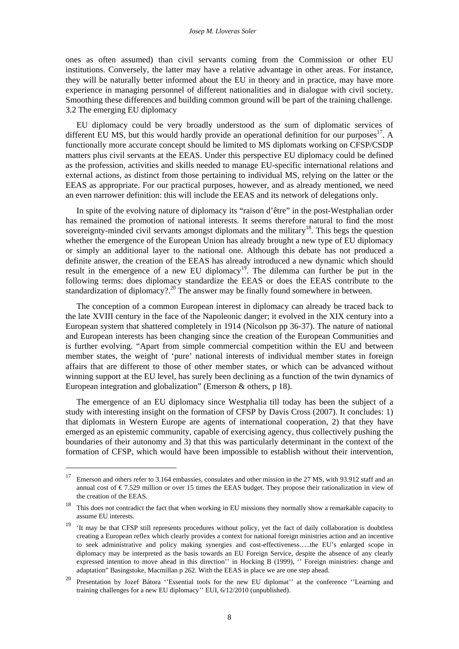ones as often assumed) than civil servants coming from the Commission or other EU institutions. Conversely, the latter may have a relative advantage in other areas. For instance, they will be naturally better informed about the EU in theory and in practice, may have more experience in managing personnel of different nationalities and in dialogue with civil society. Smoothing these differences and building common ground will be part of the training challenge. 3.2 The emerging EU diplomacy

EU diplomacy could be very broadly understood as the sum of diplomatic services of different EU MS, but this would hardly provide an operational definition for our purposes<sup>17</sup>. A functionally more accurate concept should be limited to MS diplomats working on CFSP/CSDP matters plus civil servants at the EEAS. Under this perspective EU diplomacy could be defined as the profession, activities and skills needed to manage EU-specific international relations and external actions, as distinct from those pertaining to individual MS, relying on the latter or the EEAS as appropriate. For our practical purposes, however, and as already mentioned, we need an even narrower definition: this will include the EEAS and its network of delegations only.

In spite of the evolving nature of diplomacy its "raison d'être" in the post-Westphalian order has remained the promotion of national interests. It seems therefore natural to find the most sovereignty-minded civil servants amongst diplomats and the military<sup>18</sup>. This begs the question whether the emergence of the European Union has already brought a new type of EU diplomacy or simply an additional layer to the national one. Although this debate has not produced a definite answer, the creation of the EEAS has already introduced a new dynamic which should result in the emergence of a new EU diplomacy<sup>19</sup>. The dilemma can further be put in the following terms: does diplomacy standardize the EEAS or does the EEAS contribute to the standardization of diplomacy?.<sup>20</sup> The answer may be finally found somewhere in between.

The conception of a common European interest in diplomacy can already be traced back to the late XVIII century in the face of the Napoleonic danger; it evolved in the XIX century into a European system that shattered completely in 1914 (Nicolson pp 36-37). The nature of national and European interests has been changing since the creation of the European Communities and is further evolving. "Apart from simple commercial competition within the EU and between member states, the weight of 'pure' national interests of individual member states in foreign affairs that are different to those of other member states, or which can be advanced without winning support at the EU level, has surely been declining as a function of the twin dynamics of European integration and globalization" (Emerson & others, p 18).

The emergence of an EU diplomacy since Westphalia till today has been the subject of a study with interesting insight on the formation of CFSP by Davis Cross (2007). It concludes: 1) that diplomats in Western Europe are agents of international cooperation, 2) that they have emerged as an epistemic community, capable of exercising agency, thus collectively pushing the boundaries of their autonomy and 3) that this was particularly determinant in the context of the formation of CFSP, which would have been impossible to establish without their intervention,

<sup>&</sup>lt;sup>17</sup> Emerson and others refer to 3.164 embassies, consulates and other mission in the 27 MS, with 93.912 staff and an annual cost of € 7.529 million or over 15 times the EEAS budget. They propose their rationalization in view of the creation of the EEAS.

<sup>&</sup>lt;sup>18</sup> This does not contradict the fact that when working in EU missions they normally show a remarkable capacity to assume EU interests.

 $19$  'It may be that CFSP still represents procedures without policy, yet the fact of daily collaboration is doubtless creating a European reflex which clearly provides a context for national foreign ministries action and an incentive to seek administrative and policy making synergies and cost-effectiveness…..the EU's enlarged scope in diplomacy may be interpreted as the basis towards an EU Foreign Service, despite the absence of any clearly expressed intention to move ahead in this direction'' in Hocking B (1999), '' Foreign ministries: change and adaptation" Basingstoke, Macmillan p 262. With the EEAS in place we are one step ahead.

<sup>&</sup>lt;sup>20</sup> Presentation by Jozef Bátora "Essential tools for the new EU diplomat" at the conference "Learning and training challenges for a new EU diplomacy'' EUI, 6/12/2010 (unpublished).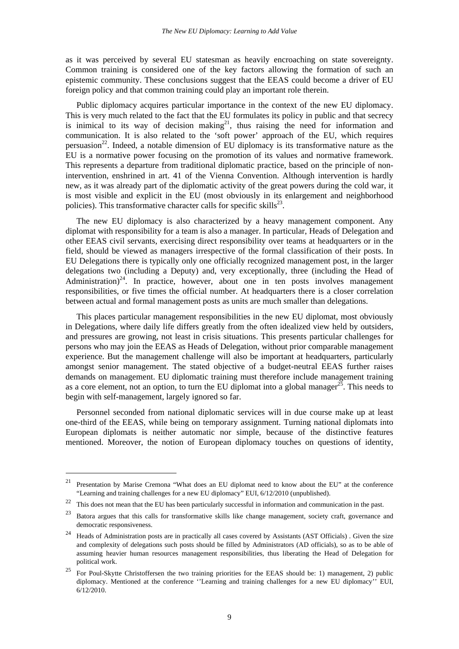as it was perceived by several EU statesman as heavily encroaching on state sovereignty. Common training is considered one of the key factors allowing the formation of such an epistemic community. These conclusions suggest that the EEAS could become a driver of EU foreign policy and that common training could play an important role therein.

Public diplomacy acquires particular importance in the context of the new EU diplomacy. This is very much related to the fact that the EU formulates its policy in public and that secrecy is inimical to its way of decision making<sup>21</sup>, thus raising the need for information and communication. It is also related to the 'soft power' approach of the EU, which requires persuasion<sup>22</sup>. Indeed, a notable dimension of EU diplomacy is its transformative nature as the EU is a normative power focusing on the promotion of its values and normative framework. This represents a departure from traditional diplomatic practice, based on the principle of nonintervention, enshrined in art. 41 of the Vienna Convention. Although intervention is hardly new, as it was already part of the diplomatic activity of the great powers during the cold war, it is most visible and explicit in the EU (most obviously in its enlargement and neighborhood policies). This transformative character calls for specific skills $^{23}$ .

The new EU diplomacy is also characterized by a heavy management component. Any diplomat with responsibility for a team is also a manager. In particular, Heads of Delegation and other EEAS civil servants, exercising direct responsibility over teams at headquarters or in the field, should be viewed as managers irrespective of the formal classification of their posts. In EU Delegations there is typically only one officially recognized management post, in the larger delegations two (including a Deputy) and, very exceptionally, three (including the Head of Administration) $24$ . In practice, however, about one in ten posts involves management responsibilities, or five times the official number. At headquarters there is a closer correlation between actual and formal management posts as units are much smaller than delegations.

This places particular management responsibilities in the new EU diplomat, most obviously in Delegations, where daily life differs greatly from the often idealized view held by outsiders, and pressures are growing, not least in crisis situations. This presents particular challenges for persons who may join the EEAS as Heads of Delegation, without prior comparable management experience. But the management challenge will also be important at headquarters, particularly amongst senior management. The stated objective of a budget-neutral EEAS further raises demands on management. EU diplomatic training must therefore include management training as a core element, not an option, to turn the EU diplomat into a global manager<sup>25</sup>. This needs to begin with self-management, largely ignored so far.

Personnel seconded from national diplomatic services will in due course make up at least one-third of the EEAS, while being on temporary assignment. Turning national diplomats into European diplomats is neither automatic nor simple, because of the distinctive features mentioned. Moreover, the notion of European diplomacy touches on questions of identity,

-

<sup>&</sup>lt;sup>21</sup> Presentation by Marise Cremona "What does an EU diplomat need to know about the EU" at the conference "Learning and training challenges for a new EU diplomacy" EUI, 6/12/2010 (unpublished).

<sup>&</sup>lt;sup>22</sup> This does not mean that the EU has been particularly successful in information and communication in the past.

<sup>&</sup>lt;sup>23</sup> Batora argues that this calls for transformative skills like change management, society craft, governance and democratic responsiveness.

<sup>&</sup>lt;sup>24</sup> Heads of Administration posts are in practically all cases covered by Assistants (AST Officials). Given the size and complexity of delegations such posts should be filled by Administrators (AD officials), so as to be able of assuming heavier human resources management responsibilities, thus liberating the Head of Delegation for political work.

<sup>&</sup>lt;sup>25</sup> For Poul-Skytte Christoffersen the two training priorities for the EEAS should be: 1) management, 2) public diplomacy. Mentioned at the conference ''Learning and training challenges for a new EU diplomacy'' EUI, 6/12/2010.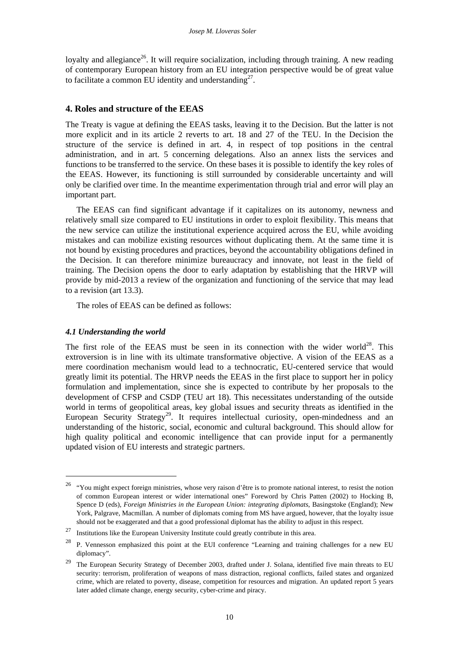loyalty and allegiance<sup>26</sup>. It will require socialization, including through training. A new reading of contemporary European history from an EU integration perspective would be of great value to facilitate a common EU identity and understanding $2^7$ .

## **4. Roles and structure of the EEAS**

The Treaty is vague at defining the EEAS tasks, leaving it to the Decision. But the latter is not more explicit and in its article 2 reverts to art. 18 and 27 of the TEU. In the Decision the structure of the service is defined in art. 4, in respect of top positions in the central administration, and in art. 5 concerning delegations. Also an annex lists the services and functions to be transferred to the service. On these bases it is possible to identify the key roles of the EEAS. However, its functioning is still surrounded by considerable uncertainty and will only be clarified over time. In the meantime experimentation through trial and error will play an important part.

The EEAS can find significant advantage if it capitalizes on its autonomy, newness and relatively small size compared to EU institutions in order to exploit flexibility. This means that the new service can utilize the institutional experience acquired across the EU, while avoiding mistakes and can mobilize existing resources without duplicating them. At the same time it is not bound by existing procedures and practices, beyond the accountability obligations defined in the Decision. It can therefore minimize bureaucracy and innovate, not least in the field of training. The Decision opens the door to early adaptation by establishing that the HRVP will provide by mid-2013 a review of the organization and functioning of the service that may lead to a revision (art 13.3).

The roles of EEAS can be defined as follows:

## *4.1 Understanding the world*

1

The first role of the EEAS must be seen in its connection with the wider world<sup>28</sup>. This extroversion is in line with its ultimate transformative objective. A vision of the EEAS as a mere coordination mechanism would lead to a technocratic, EU-centered service that would greatly limit its potential. The HRVP needs the EEAS in the first place to support her in policy formulation and implementation, since she is expected to contribute by her proposals to the development of CFSP and CSDP (TEU art 18). This necessitates understanding of the outside world in terms of geopolitical areas, key global issues and security threats as identified in the European Security Strategy<sup>29</sup>. It requires intellectual curiosity, open-mindedness and an understanding of the historic, social, economic and cultural background. This should allow for high quality political and economic intelligence that can provide input for a permanently updated vision of EU interests and strategic partners.

<sup>&</sup>lt;sup>26</sup> "You might expect foreign ministries, whose very raison d'être is to promote national interest, to resist the notion of common European interest or wider international ones" Foreword by Chris Patten (2002) to Hocking B, Spence D (eds), *Foreign Ministries in the European Union: integrating diplomats*, Basingstoke (England); New York, Palgrave, Macmillan. A number of diplomats coming from MS have argued, however, that the loyalty issue should not be exaggerated and that a good professional diplomat has the ability to adjust in this respect.

 $27$  Institutions like the European University Institute could greatly contribute in this area.

<sup>&</sup>lt;sup>28</sup> P. Vennesson emphasized this point at the EUI conference "Learning and training challenges for a new EU diplomacy".

<sup>&</sup>lt;sup>29</sup> The European Security Strategy of December 2003, drafted under J. Solana, identified five main threats to EU security: terrorism, proliferation of weapons of mass distraction, regional conflicts, failed states and organized crime, which are related to poverty, disease, competition for resources and migration. An updated report 5 years later added climate change, energy security, cyber-crime and piracy.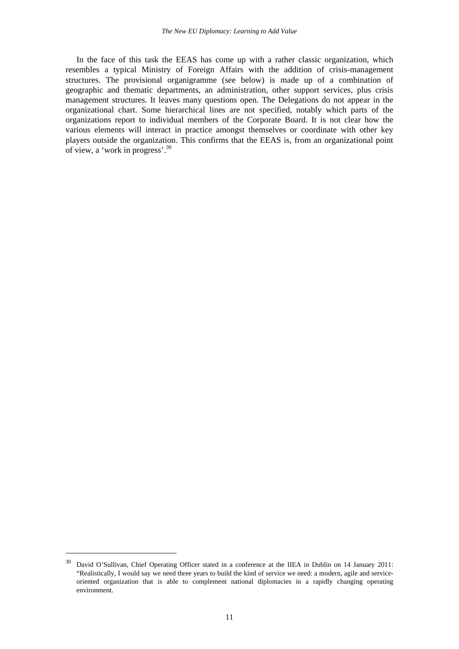In the face of this task the EEAS has come up with a rather classic organization, which resembles a typical Ministry of Foreign Affairs with the addition of crisis-management structures. The provisional organigramme (see below) is made up of a combination of geographic and thematic departments, an administration, other support services, plus crisis management structures. It leaves many questions open. The Delegations do not appear in the organizational chart. Some hierarchical lines are not specified, notably which parts of the organizations report to individual members of the Corporate Board. It is not clear how the various elements will interact in practice amongst themselves or coordinate with other key players outside the organization. This confirms that the EEAS is, from an organizational point of view, a 'work in progress'.<sup>30</sup>

<sup>&</sup>lt;sup>30</sup> David O'Sullivan, Chief Operating Officer stated in a conference at the IIEA in Dublin on 14 January 2011: "Realistically, I would say we need three years to build the kind of service we need: a modern, agile and serviceoriented organization that is able to complement national diplomacies in a rapidly changing operating environment.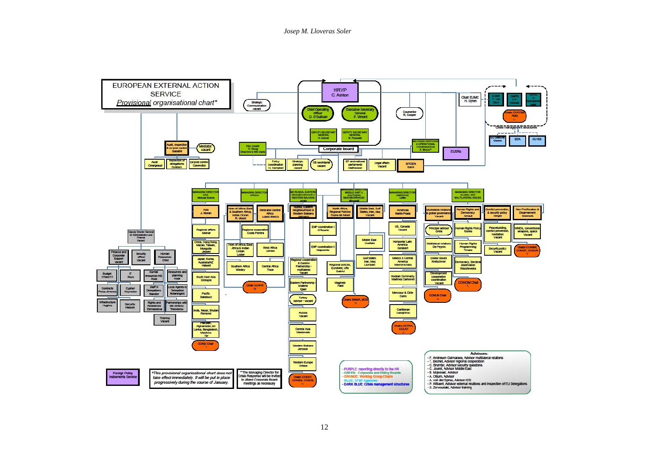*Josep M. Lloveras Soler* 

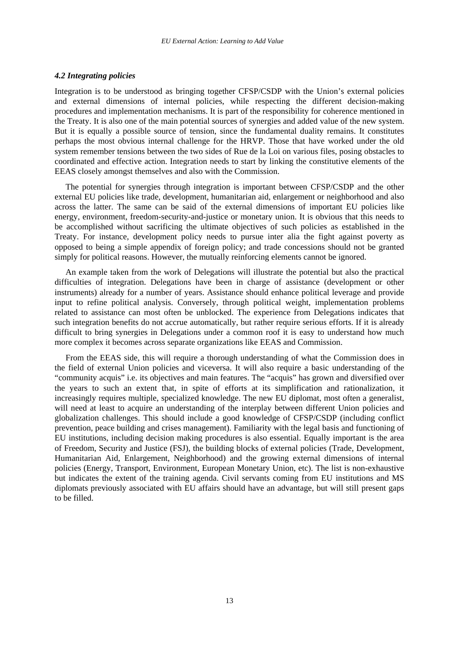#### *4.2 Integrating policies*

Integration is to be understood as bringing together CFSP/CSDP with the Union's external policies and external dimensions of internal policies, while respecting the different decision-making procedures and implementation mechanisms. It is part of the responsibility for coherence mentioned in the Treaty. It is also one of the main potential sources of synergies and added value of the new system. But it is equally a possible source of tension, since the fundamental duality remains. It constitutes perhaps the most obvious internal challenge for the HRVP. Those that have worked under the old system remember tensions between the two sides of Rue de la Loi on various files, posing obstacles to coordinated and effective action. Integration needs to start by linking the constitutive elements of the EEAS closely amongst themselves and also with the Commission.

The potential for synergies through integration is important between CFSP/CSDP and the other external EU policies like trade, development, humanitarian aid, enlargement or neighborhood and also across the latter. The same can be said of the external dimensions of important EU policies like energy, environment, freedom-security-and-justice or monetary union. It is obvious that this needs to be accomplished without sacrificing the ultimate objectives of such policies as established in the Treaty. For instance, development policy needs to pursue inter alia the fight against poverty as opposed to being a simple appendix of foreign policy; and trade concessions should not be granted simply for political reasons. However, the mutually reinforcing elements cannot be ignored.

An example taken from the work of Delegations will illustrate the potential but also the practical difficulties of integration. Delegations have been in charge of assistance (development or other instruments) already for a number of years. Assistance should enhance political leverage and provide input to refine political analysis. Conversely, through political weight, implementation problems related to assistance can most often be unblocked. The experience from Delegations indicates that such integration benefits do not accrue automatically, but rather require serious efforts. If it is already difficult to bring synergies in Delegations under a common roof it is easy to understand how much more complex it becomes across separate organizations like EEAS and Commission.

From the EEAS side, this will require a thorough understanding of what the Commission does in the field of external Union policies and viceversa. It will also require a basic understanding of the "community acquis" i.e. its objectives and main features. The "acquis" has grown and diversified over the years to such an extent that, in spite of efforts at its simplification and rationalization, it increasingly requires multiple, specialized knowledge. The new EU diplomat, most often a generalist, will need at least to acquire an understanding of the interplay between different Union policies and globalization challenges. This should include a good knowledge of CFSP/CSDP (including conflict prevention, peace building and crises management). Familiarity with the legal basis and functioning of EU institutions, including decision making procedures is also essential. Equally important is the area of Freedom, Security and Justice (FSJ), the building blocks of external policies (Trade, Development, Humanitarian Aid, Enlargement, Neighborhood) and the growing external dimensions of internal policies (Energy, Transport, Environment, European Monetary Union, etc). The list is non-exhaustive but indicates the extent of the training agenda. Civil servants coming from EU institutions and MS diplomats previously associated with EU affairs should have an advantage, but will still present gaps to be filled.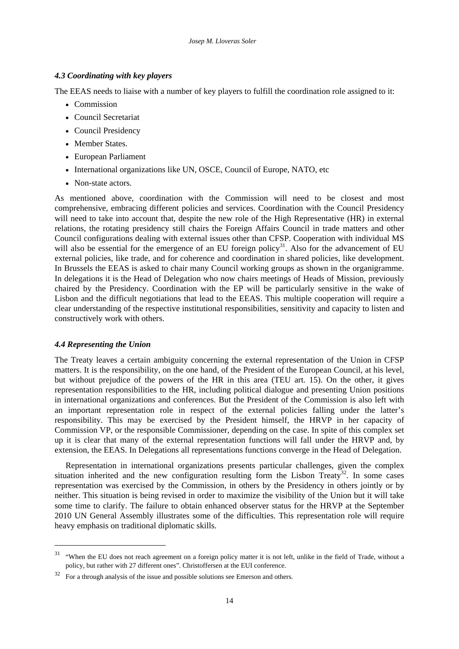## *4.3 Coordinating with key players*

The EEAS needs to liaise with a number of key players to fulfill the coordination role assigned to it:

- Commission
- Council Secretariat
- Council Presidency
- Member States.
- European Parliament
- International organizations like UN, OSCE, Council of Europe, NATO, etc
- Non-state actors

As mentioned above, coordination with the Commission will need to be closest and most comprehensive, embracing different policies and services. Coordination with the Council Presidency will need to take into account that, despite the new role of the High Representative (HR) in external relations, the rotating presidency still chairs the Foreign Affairs Council in trade matters and other Council configurations dealing with external issues other than CFSP. Cooperation with individual MS will also be essential for the emergence of an EU foreign policy<sup>31</sup>. Also for the advancement of EU external policies, like trade, and for coherence and coordination in shared policies, like development. In Brussels the EEAS is asked to chair many Council working groups as shown in the organigramme. In delegations it is the Head of Delegation who now chairs meetings of Heads of Mission, previously chaired by the Presidency. Coordination with the EP will be particularly sensitive in the wake of Lisbon and the difficult negotiations that lead to the EEAS. This multiple cooperation will require a clear understanding of the respective institutional responsibilities, sensitivity and capacity to listen and constructively work with others.

## *4.4 Representing the Union*

-

The Treaty leaves a certain ambiguity concerning the external representation of the Union in CFSP matters. It is the responsibility, on the one hand, of the President of the European Council, at his level, but without prejudice of the powers of the HR in this area (TEU art. 15). On the other, it gives representation responsibilities to the HR, including political dialogue and presenting Union positions in international organizations and conferences. But the President of the Commission is also left with an important representation role in respect of the external policies falling under the latter's responsibility. This may be exercised by the President himself, the HRVP in her capacity of Commission VP, or the responsible Commissioner, depending on the case. In spite of this complex set up it is clear that many of the external representation functions will fall under the HRVP and, by extension, the EEAS. In Delegations all representations functions converge in the Head of Delegation.

Representation in international organizations presents particular challenges, given the complex situation inherited and the new configuration resulting form the Lisbon Treaty<sup>32</sup>. In some cases representation was exercised by the Commission, in others by the Presidency in others jointly or by neither. This situation is being revised in order to maximize the visibility of the Union but it will take some time to clarify. The failure to obtain enhanced observer status for the HRVP at the September 2010 UN General Assembly illustrates some of the difficulties. This representation role will require heavy emphasis on traditional diplomatic skills.

<sup>31 &</sup>quot;When the EU does not reach agreement on a foreign policy matter it is not left, unlike in the field of Trade, without a policy, but rather with 27 different ones". Christoffersen at the EUI conference.

 $32$  For a through analysis of the issue and possible solutions see Emerson and others.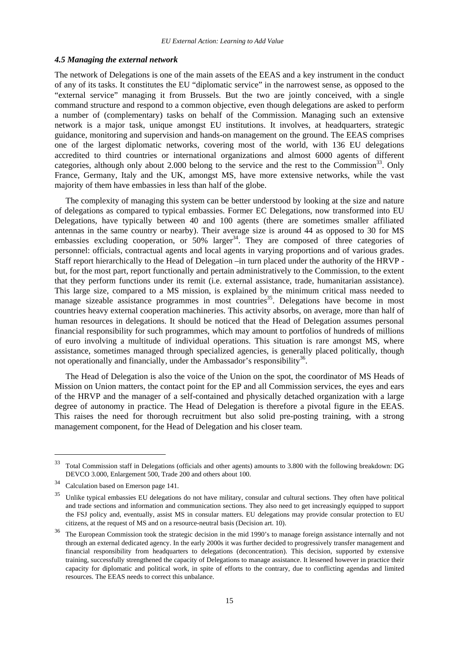#### *4.5 Managing the external network*

The network of Delegations is one of the main assets of the EEAS and a key instrument in the conduct of any of its tasks. It constitutes the EU "diplomatic service" in the narrowest sense, as opposed to the "external service" managing it from Brussels. But the two are jointly conceived, with a single command structure and respond to a common objective, even though delegations are asked to perform a number of (complementary) tasks on behalf of the Commission. Managing such an extensive network is a major task, unique amongst EU institutions. It involves, at headquarters, strategic guidance, monitoring and supervision and hands-on management on the ground. The EEAS comprises one of the largest diplomatic networks, covering most of the world, with 136 EU delegations accredited to third countries or international organizations and almost 6000 agents of different categories, although only about 2.000 belong to the service and the rest to the Commission<sup>33</sup>. Only France, Germany, Italy and the UK, amongst MS, have more extensive networks, while the vast majority of them have embassies in less than half of the globe.

The complexity of managing this system can be better understood by looking at the size and nature of delegations as compared to typical embassies. Former EC Delegations, now transformed into EU Delegations, have typically between 40 and 100 agents (there are sometimes smaller affiliated antennas in the same country or nearby). Their average size is around 44 as opposed to 30 for MS embassies excluding cooperation, or  $50\%$  larger<sup>34</sup>. They are composed of three categories of personnel: officials, contractual agents and local agents in varying proportions and of various grades. Staff report hierarchically to the Head of Delegation –in turn placed under the authority of the HRVP but, for the most part, report functionally and pertain administratively to the Commission, to the extent that they perform functions under its remit (i.e. external assistance, trade, humanitarian assistance). This large size, compared to a MS mission, is explained by the minimum critical mass needed to manage sizeable assistance programmes in most countries<sup>35</sup>. Delegations have become in most countries heavy external cooperation machineries. This activity absorbs, on average, more than half of human resources in delegations. It should be noticed that the Head of Delegation assumes personal financial responsibility for such programmes, which may amount to portfolios of hundreds of millions of euro involving a multitude of individual operations. This situation is rare amongst MS, where assistance, sometimes managed through specialized agencies, is generally placed politically, though not operationally and financially, under the Ambassador's responsibility<sup>36</sup>.

The Head of Delegation is also the voice of the Union on the spot, the coordinator of MS Heads of Mission on Union matters, the contact point for the EP and all Commission services, the eyes and ears of the HRVP and the manager of a self-contained and physically detached organization with a large degree of autonomy in practice. The Head of Delegation is therefore a pivotal figure in the EEAS. This raises the need for thorough recruitment but also solid pre-posting training, with a strong management component, for the Head of Delegation and his closer team.

<sup>33</sup> Total Commission staff in Delegations (officials and other agents) amounts to 3.800 with the following breakdown: DG DEVCO 3.000, Enlargement 500, Trade 200 and others about 100.

<sup>34</sup> Calculation based on Emerson page 141.

<sup>&</sup>lt;sup>35</sup> Unlike typical embassies EU delegations do not have military, consular and cultural sections. They often have political and trade sections and information and communication sections. They also need to get increasingly equipped to support the FSJ policy and, eventually, assist MS in consular matters. EU delegations may provide consular protection to EU citizens, at the request of MS and on a resource-neutral basis (Decision art. 10).

<sup>&</sup>lt;sup>36</sup> The European Commission took the strategic decision in the mid 1990's to manage foreign assistance internally and not through an external dedicated agency. In the early 2000s it was further decided to progressively transfer management and financial responsibility from headquarters to delegations (deconcentration). This decision, supported by extensive training, successfully strengthened the capacity of Delegations to manage assistance. It lessened however in practice their capacity for diplomatic and political work, in spite of efforts to the contrary, due to conflicting agendas and limited resources. The EEAS needs to correct this unbalance.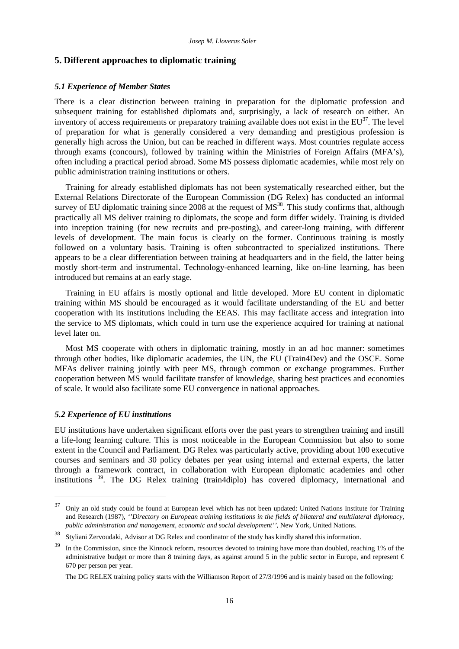#### **5. Different approaches to diplomatic training**

#### *5.1 Experience of Member States*

There is a clear distinction between training in preparation for the diplomatic profession and subsequent training for established diplomats and, surprisingly, a lack of research on either. An inventory of access requirements or preparatory training available does not exist in the  $EU^{37}$ . The level of preparation for what is generally considered a very demanding and prestigious profession is generally high across the Union, but can be reached in different ways. Most countries regulate access through exams (concours), followed by training within the Ministries of Foreign Affairs (MFA's), often including a practical period abroad. Some MS possess diplomatic academies, while most rely on public administration training institutions or others.

Training for already established diplomats has not been systematically researched either, but the External Relations Directorate of the European Commission (DG Relex) has conducted an informal survey of EU diplomatic training since  $2008$  at the request of  $MS<sup>38</sup>$ . This study confirms that, although practically all MS deliver training to diplomats, the scope and form differ widely. Training is divided into inception training (for new recruits and pre-posting), and career-long training, with different levels of development. The main focus is clearly on the former. Continuous training is mostly followed on a voluntary basis. Training is often subcontracted to specialized institutions. There appears to be a clear differentiation between training at headquarters and in the field, the latter being mostly short-term and instrumental. Technology-enhanced learning, like on-line learning, has been introduced but remains at an early stage.

Training in EU affairs is mostly optional and little developed. More EU content in diplomatic training within MS should be encouraged as it would facilitate understanding of the EU and better cooperation with its institutions including the EEAS. This may facilitate access and integration into the service to MS diplomats, which could in turn use the experience acquired for training at national level later on.

Most MS cooperate with others in diplomatic training, mostly in an ad hoc manner: sometimes through other bodies, like diplomatic academies, the UN, the EU (Train4Dev) and the OSCE. Some MFAs deliver training jointly with peer MS, through common or exchange programmes. Further cooperation between MS would facilitate transfer of knowledge, sharing best practices and economies of scale. It would also facilitate some EU convergence in national approaches.

#### *5.2 Experience of EU institutions*

-

EU institutions have undertaken significant efforts over the past years to strengthen training and instill a life-long learning culture. This is most noticeable in the European Commission but also to some extent in the Council and Parliament. DG Relex was particularly active, providing about 100 executive courses and seminars and 30 policy debates per year using internal and external experts, the latter through a framework contract, in collaboration with European diplomatic academies and other institutions 39. The DG Relex training (train4diplo) has covered diplomacy, international and

 $37$  Only an old study could be found at European level which has not been updated: United Nations Institute for Training and Research (1987), *''Directory on European training institutions in the fields of bilateral and multilateral diplomacy, public administration and management, economic and social development''*, New York, United Nations.

<sup>38</sup> Styliani Zervoudaki, Advisor at DG Relex and coordinator of the study has kindly shared this information.

<sup>&</sup>lt;sup>39</sup> In the Commission, since the Kinnock reform, resources devoted to training have more than doubled, reaching 1% of the administrative budget or more than 8 training days, as against around 5 in the public sector in Europe, and represent  $\epsilon$ 670 per person per year.

The DG RELEX training policy starts with the Williamson Report of 27/3/1996 and is mainly based on the following: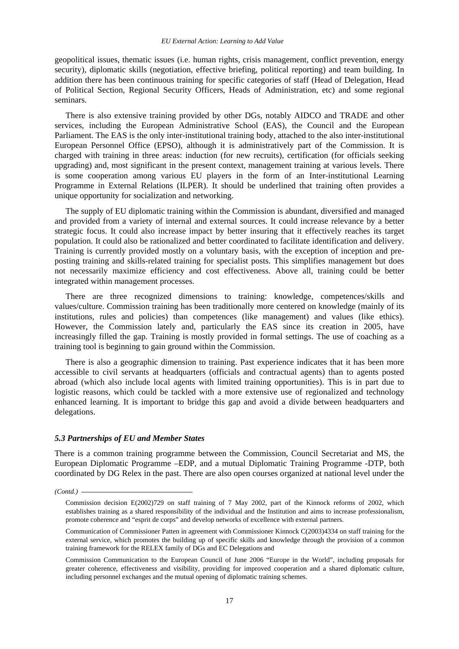geopolitical issues, thematic issues (i.e. human rights, crisis management, conflict prevention, energy security), diplomatic skills (negotiation, effective briefing, political reporting) and team building. In addition there has been continuous training for specific categories of staff (Head of Delegation, Head of Political Section, Regional Security Officers, Heads of Administration, etc) and some regional seminars.

There is also extensive training provided by other DGs, notably AIDCO and TRADE and other services, including the European Administrative School (EAS), the Council and the European Parliament. The EAS is the only inter-institutional training body, attached to the also inter-institutional European Personnel Office (EPSO), although it is administratively part of the Commission. It is charged with training in three areas: induction (for new recruits), certification (for officials seeking upgrading) and, most significant in the present context, management training at various levels. There is some cooperation among various EU players in the form of an Inter-institutional Learning Programme in External Relations (ILPER). It should be underlined that training often provides a unique opportunity for socialization and networking.

The supply of EU diplomatic training within the Commission is abundant, diversified and managed and provided from a variety of internal and external sources. It could increase relevance by a better strategic focus. It could also increase impact by better insuring that it effectively reaches its target population. It could also be rationalized and better coordinated to facilitate identification and delivery. Training is currently provided mostly on a voluntary basis, with the exception of inception and preposting training and skills-related training for specialist posts. This simplifies management but does not necessarily maximize efficiency and cost effectiveness. Above all, training could be better integrated within management processes.

There are three recognized dimensions to training: knowledge, competences/skills and values/culture. Commission training has been traditionally more centered on knowledge (mainly of its institutions, rules and policies) than competences (like management) and values (like ethics). However, the Commission lately and, particularly the EAS since its creation in 2005, have increasingly filled the gap. Training is mostly provided in formal settings. The use of coaching as a training tool is beginning to gain ground within the Commission.

There is also a geographic dimension to training. Past experience indicates that it has been more accessible to civil servants at headquarters (officials and contractual agents) than to agents posted abroad (which also include local agents with limited training opportunities). This is in part due to logistic reasons, which could be tackled with a more extensive use of regionalized and technology enhanced learning. It is important to bridge this gap and avoid a divide between headquarters and delegations.

## *5.3 Partnerships of EU and Member States*

There is a common training programme between the Commission, Council Secretariat and MS, the European Diplomatic Programme –EDP, and a mutual Diplomatic Training Programme -DTP, both coordinated by DG Relex in the past. There are also open courses organized at national level under the

*(Contd.)* 

Commission decision E(2002)729 on staff training of 7 May 2002, part of the Kinnock reforms of 2002, which establishes training as a shared responsibility of the individual and the Institution and aims to increase professionalism, promote coherence and "esprit de corps" and develop networks of excellence with external partners.

Communication of Commissioner Patten in agreement with Commissioner Kinnock C(2003)4334 on staff training for the external service, which promotes the building up of specific skills and knowledge through the provision of a common training framework for the RELEX family of DGs and EC Delegations and

Commission Communication to the European Council of June 2006 "Europe in the World", including proposals for greater coherence, effectiveness and visibility, providing for improved cooperation and a shared diplomatic culture, including personnel exchanges and the mutual opening of diplomatic training schemes.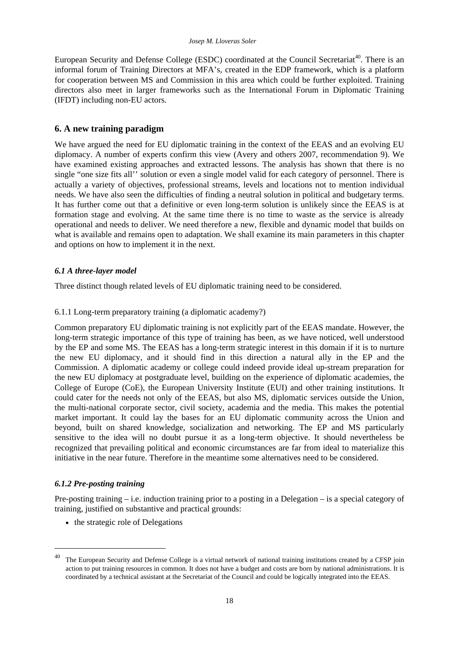European Security and Defense College (ESDC) coordinated at the Council Secretariat<sup>40</sup>. There is an informal forum of Training Directors at MFA's, created in the EDP framework, which is a platform for cooperation between MS and Commission in this area which could be further exploited. Training directors also meet in larger frameworks such as the International Forum in Diplomatic Training (IFDT) including non-EU actors.

## **6. A new training paradigm**

We have argued the need for EU diplomatic training in the context of the EEAS and an evolving EU diplomacy. A number of experts confirm this view (Avery and others 2007, recommendation 9). We have examined existing approaches and extracted lessons. The analysis has shown that there is no single "one size fits all'' solution or even a single model valid for each category of personnel. There is actually a variety of objectives, professional streams, levels and locations not to mention individual needs. We have also seen the difficulties of finding a neutral solution in political and budgetary terms. It has further come out that a definitive or even long-term solution is unlikely since the EEAS is at formation stage and evolving. At the same time there is no time to waste as the service is already operational and needs to deliver. We need therefore a new, flexible and dynamic model that builds on what is available and remains open to adaptation. We shall examine its main parameters in this chapter and options on how to implement it in the next.

## *6.1 A three-layer model*

Three distinct though related levels of EU diplomatic training need to be considered.

## 6.1.1 Long-term preparatory training (a diplomatic academy?)

Common preparatory EU diplomatic training is not explicitly part of the EEAS mandate. However, the long-term strategic importance of this type of training has been, as we have noticed, well understood by the EP and some MS. The EEAS has a long-term strategic interest in this domain if it is to nurture the new EU diplomacy, and it should find in this direction a natural ally in the EP and the Commission. A diplomatic academy or college could indeed provide ideal up-stream preparation for the new EU diplomacy at postgraduate level, building on the experience of diplomatic academies, the College of Europe (CoE), the European University Institute (EUI) and other training institutions. It could cater for the needs not only of the EEAS, but also MS, diplomatic services outside the Union, the multi-national corporate sector, civil society, academia and the media. This makes the potential market important. It could lay the bases for an EU diplomatic community across the Union and beyond, built on shared knowledge, socialization and networking. The EP and MS particularly sensitive to the idea will no doubt pursue it as a long-term objective. It should nevertheless be recognized that prevailing political and economic circumstances are far from ideal to materialize this initiative in the near future. Therefore in the meantime some alternatives need to be considered.

## *6.1.2 Pre-posting training*

1

Pre-posting training – i.e. induction training prior to a posting in a Delegation – is a special category of training, justified on substantive and practical grounds:

• the strategic role of Delegations

<sup>&</sup>lt;sup>40</sup> The European Security and Defense College is a virtual network of national training institutions created by a CFSP join action to put training resources in common. It does not have a budget and costs are born by national administrations. It is coordinated by a technical assistant at the Secretariat of the Council and could be logically integrated into the EEAS.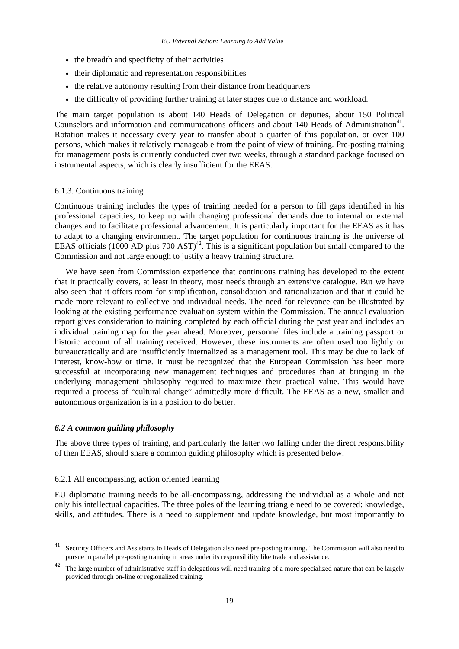- the breadth and specificity of their activities
- their diplomatic and representation responsibilities
- the relative autonomy resulting from their distance from headquarters
- the difficulty of providing further training at later stages due to distance and workload.

The main target population is about 140 Heads of Delegation or deputies, about 150 Political Counselors and information and communications officers and about 140 Heads of Administration<sup>41</sup>. Rotation makes it necessary every year to transfer about a quarter of this population, or over 100 persons, which makes it relatively manageable from the point of view of training. Pre-posting training for management posts is currently conducted over two weeks, through a standard package focused on instrumental aspects, which is clearly insufficient for the EEAS.

## 6.1.3. Continuous training

Continuous training includes the types of training needed for a person to fill gaps identified in his professional capacities, to keep up with changing professional demands due to internal or external changes and to facilitate professional advancement. It is particularly important for the EEAS as it has to adapt to a changing environment. The target population for continuous training is the universe of EEAS officials (1000 AD plus 700 AST)<sup>42</sup>. This is a significant population but small compared to the Commission and not large enough to justify a heavy training structure.

We have seen from Commission experience that continuous training has developed to the extent that it practically covers, at least in theory, most needs through an extensive catalogue. But we have also seen that it offers room for simplification, consolidation and rationalization and that it could be made more relevant to collective and individual needs. The need for relevance can be illustrated by looking at the existing performance evaluation system within the Commission. The annual evaluation report gives consideration to training completed by each official during the past year and includes an individual training map for the year ahead. Moreover, personnel files include a training passport or historic account of all training received. However, these instruments are often used too lightly or bureaucratically and are insufficiently internalized as a management tool. This may be due to lack of interest, know-how or time. It must be recognized that the European Commission has been more successful at incorporating new management techniques and procedures than at bringing in the underlying management philosophy required to maximize their practical value. This would have required a process of "cultural change" admittedly more difficult. The EEAS as a new, smaller and autonomous organization is in a position to do better.

#### *6.2 A common guiding philosophy*

1

The above three types of training, and particularly the latter two falling under the direct responsibility of then EEAS, should share a common guiding philosophy which is presented below.

## 6.2.1 All encompassing, action oriented learning

EU diplomatic training needs to be all-encompassing, addressing the individual as a whole and not only his intellectual capacities. The three poles of the learning triangle need to be covered: knowledge, skills, and attitudes. There is a need to supplement and update knowledge, but most importantly to

<sup>&</sup>lt;sup>41</sup> Security Officers and Assistants to Heads of Delegation also need pre-posting training. The Commission will also need to pursue in parallel pre-posting training in areas under its responsibility like trade and assistance.

 $42$  The large number of administrative staff in delegations will need training of a more specialized nature that can be largely provided through on-line or regionalized training.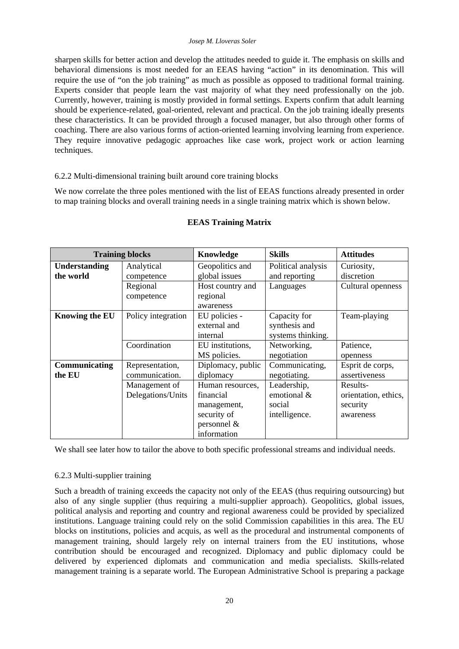#### *Josep M. Lloveras Soler*

sharpen skills for better action and develop the attitudes needed to guide it. The emphasis on skills and behavioral dimensions is most needed for an EEAS having "action" in its denomination. This will require the use of "on the job training" as much as possible as opposed to traditional formal training. Experts consider that people learn the vast majority of what they need professionally on the job. Currently, however, training is mostly provided in formal settings. Experts confirm that adult learning should be experience-related, goal-oriented, relevant and practical. On the job training ideally presents these characteristics. It can be provided through a focused manager, but also through other forms of coaching. There are also various forms of action-oriented learning involving learning from experience. They require innovative pedagogic approaches like case work, project work or action learning techniques.

## 6.2.2 Multi-dimensional training built around core training blocks

We now correlate the three poles mentioned with the list of EEAS functions already presented in order to map training blocks and overall training needs in a single training matrix which is shown below.

| <b>Training blocks</b>            |                                    | Knowledge                                                                                    | <b>Skills</b>                                         | <b>Attitudes</b>                                          |
|-----------------------------------|------------------------------------|----------------------------------------------------------------------------------------------|-------------------------------------------------------|-----------------------------------------------------------|
| <b>Understanding</b><br>the world | Analytical<br>competence           | Geopolitics and<br>global issues                                                             | Political analysis<br>and reporting                   | Curiosity,<br>discretion                                  |
|                                   | Regional<br>competence             | Host country and<br>regional<br>awareness                                                    | Languages                                             | Cultural openness                                         |
| <b>Knowing the EU</b>             | Policy integration                 | EU policies -<br>external and<br>internal                                                    | Capacity for<br>synthesis and<br>systems thinking.    | Team-playing                                              |
|                                   | Coordination                       | EU institutions,<br>MS policies.                                                             | Networking,<br>negotiation                            | Patience,<br>openness                                     |
| Communicating<br>the EU           | Representation,<br>communication.  | Diplomacy, public<br>diplomacy                                                               | Communicating,<br>negotiating.                        | Esprit de corps,<br>assertiveness                         |
|                                   | Management of<br>Delegations/Units | Human resources,<br>financial<br>management,<br>security of<br>personnel $\&$<br>information | Leadership,<br>emotional &<br>social<br>intelligence. | Results-<br>orientation, ethics,<br>security<br>awareness |

# **EEAS Training Matrix**

We shall see later how to tailor the above to both specific professional streams and individual needs.

## 6.2.3 Multi-supplier training

Such a breadth of training exceeds the capacity not only of the EEAS (thus requiring outsourcing) but also of any single supplier (thus requiring a multi-supplier approach). Geopolitics, global issues, political analysis and reporting and country and regional awareness could be provided by specialized institutions. Language training could rely on the solid Commission capabilities in this area. The EU blocks on institutions, policies and acquis, as well as the procedural and instrumental components of management training, should largely rely on internal trainers from the EU institutions, whose contribution should be encouraged and recognized. Diplomacy and public diplomacy could be delivered by experienced diplomats and communication and media specialists. Skills-related management training is a separate world. The European Administrative School is preparing a package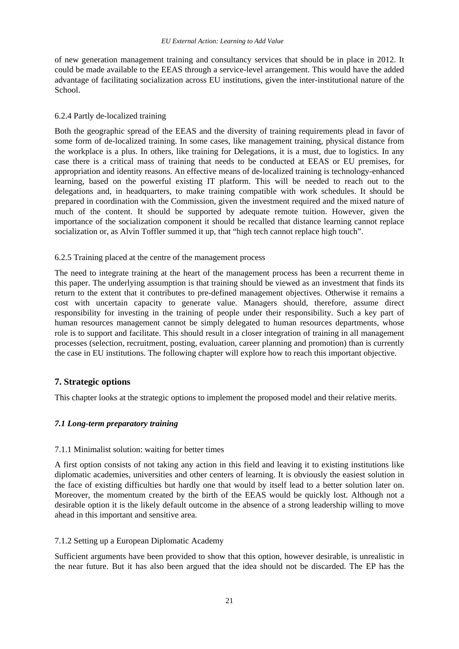of new generation management training and consultancy services that should be in place in 2012. It could be made available to the EEAS through a service-level arrangement. This would have the added advantage of facilitating socialization across EU institutions, given the inter-institutional nature of the School.

## 6.2.4 Partly de-localized training

Both the geographic spread of the EEAS and the diversity of training requirements plead in favor of some form of de-localized training. In some cases, like management training, physical distance from the workplace is a plus. In others, like training for Delegations, it is a must, due to logistics. In any case there is a critical mass of training that needs to be conducted at EEAS or EU premises, for appropriation and identity reasons. An effective means of de-localized training is technology-enhanced learning, based on the powerful existing IT platform. This will be needed to reach out to the delegations and, in headquarters, to make training compatible with work schedules. It should be prepared in coordination with the Commission, given the investment required and the mixed nature of much of the content. It should be supported by adequate remote tuition. However, given the importance of the socialization component it should be recalled that distance learning cannot replace socialization or, as Alvin Toffler summed it up, that "high tech cannot replace high touch".

## 6.2.5 Training placed at the centre of the management process

The need to integrate training at the heart of the management process has been a recurrent theme in this paper. The underlying assumption is that training should be viewed as an investment that finds its return to the extent that it contributes to pre-defined management objectives. Otherwise it remains a cost with uncertain capacity to generate value. Managers should, therefore, assume direct responsibility for investing in the training of people under their responsibility. Such a key part of human resources management cannot be simply delegated to human resources departments, whose role is to support and facilitate. This should result in a closer integration of training in all management processes (selection, recruitment, posting, evaluation, career planning and promotion) than is currently the case in EU institutions. The following chapter will explore how to reach this important objective.

## **7. Strategic options**

This chapter looks at the strategic options to implement the proposed model and their relative merits.

## *7.1 Long-term preparatory training*

## 7.1.1 Minimalist solution: waiting for better times

A first option consists of not taking any action in this field and leaving it to existing institutions like diplomatic academies, universities and other centers of learning. It is obviously the easiest solution in the face of existing difficulties but hardly one that would by itself lead to a better solution later on. Moreover, the momentum created by the birth of the EEAS would be quickly lost. Although not a desirable option it is the likely default outcome in the absence of a strong leadership willing to move ahead in this important and sensitive area.

## 7.1.2 Setting up a European Diplomatic Academy

Sufficient arguments have been provided to show that this option, however desirable, is unrealistic in the near future. But it has also been argued that the idea should not be discarded. The EP has the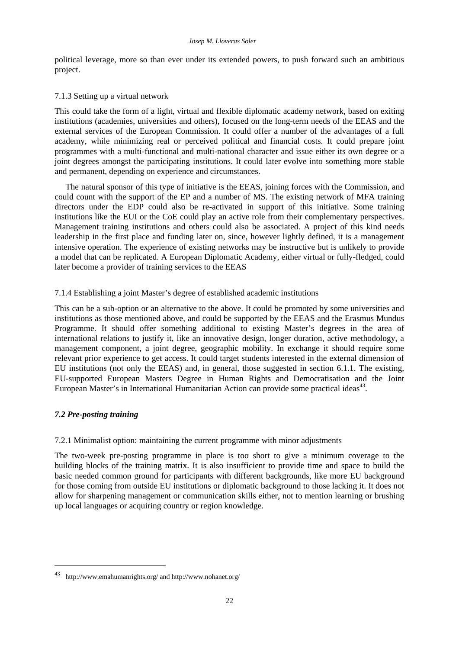political leverage, more so than ever under its extended powers, to push forward such an ambitious project.

## 7.1.3 Setting up a virtual network

This could take the form of a light, virtual and flexible diplomatic academy network, based on exiting institutions (academies, universities and others), focused on the long-term needs of the EEAS and the external services of the European Commission. It could offer a number of the advantages of a full academy, while minimizing real or perceived political and financial costs. It could prepare joint programmes with a multi-functional and multi-national character and issue either its own degree or a joint degrees amongst the participating institutions. It could later evolve into something more stable and permanent, depending on experience and circumstances.

The natural sponsor of this type of initiative is the EEAS, joining forces with the Commission, and could count with the support of the EP and a number of MS. The existing network of MFA training directors under the EDP could also be re-activated in support of this initiative. Some training institutions like the EUI or the CoE could play an active role from their complementary perspectives. Management training institutions and others could also be associated. A project of this kind needs leadership in the first place and funding later on, since, however lightly defined, it is a management intensive operation. The experience of existing networks may be instructive but is unlikely to provide a model that can be replicated. A European Diplomatic Academy, either virtual or fully-fledged, could later become a provider of training services to the EEAS

## 7.1.4 Establishing a joint Master's degree of established academic institutions

This can be a sub-option or an alternative to the above. It could be promoted by some universities and institutions as those mentioned above, and could be supported by the EEAS and the Erasmus Mundus Programme. It should offer something additional to existing Master's degrees in the area of international relations to justify it, like an innovative design, longer duration, active methodology, a management component, a joint degree, geographic mobility. In exchange it should require some relevant prior experience to get access. It could target students interested in the external dimension of EU institutions (not only the EEAS) and, in general, those suggested in section 6.1.1. The existing, EU-supported European Masters Degree in Human Rights and Democratisation and the Joint European Master's in International Humanitarian Action can provide some practical ideas<sup>43</sup>.

# *7.2 Pre-posting training*

1

7.2.1 Minimalist option: maintaining the current programme with minor adjustments

The two-week pre-posting programme in place is too short to give a minimum coverage to the building blocks of the training matrix. It is also insufficient to provide time and space to build the basic needed common ground for participants with different backgrounds, like more EU background for those coming from outside EU institutions or diplomatic background to those lacking it. It does not allow for sharpening management or communication skills either, not to mention learning or brushing up local languages or acquiring country or region knowledge.

<sup>43</sup> [http://www.emahumanrights.org/ an](http://www.emahumanrights.org/)d <http://www.nohanet.org/>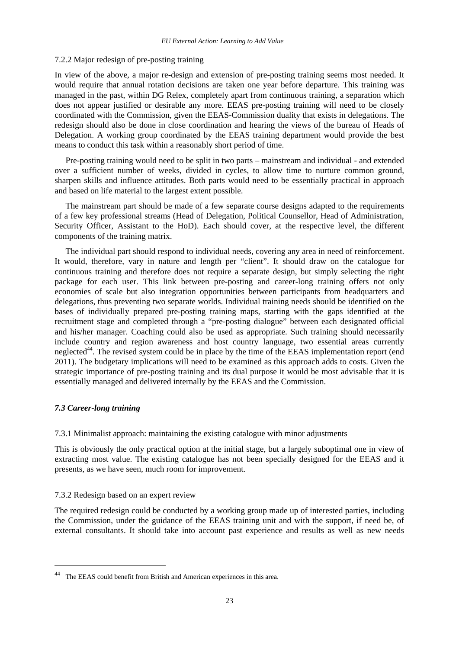#### 7.2.2 Major redesign of pre-posting training

In view of the above, a major re-design and extension of pre-posting training seems most needed. It would require that annual rotation decisions are taken one year before departure. This training was managed in the past, within DG Relex, completely apart from continuous training, a separation which does not appear justified or desirable any more. EEAS pre-posting training will need to be closely coordinated with the Commission, given the EEAS-Commission duality that exists in delegations. The redesign should also be done in close coordination and hearing the views of the bureau of Heads of Delegation. A working group coordinated by the EEAS training department would provide the best means to conduct this task within a reasonably short period of time.

Pre-posting training would need to be split in two parts – mainstream and individual - and extended over a sufficient number of weeks, divided in cycles, to allow time to nurture common ground, sharpen skills and influence attitudes. Both parts would need to be essentially practical in approach and based on life material to the largest extent possible.

The mainstream part should be made of a few separate course designs adapted to the requirements of a few key professional streams (Head of Delegation, Political Counsellor, Head of Administration, Security Officer, Assistant to the HoD). Each should cover, at the respective level, the different components of the training matrix.

The individual part should respond to individual needs, covering any area in need of reinforcement. It would, therefore, vary in nature and length per "client". It should draw on the catalogue for continuous training and therefore does not require a separate design, but simply selecting the right package for each user. This link between pre-posting and career-long training offers not only economies of scale but also integration opportunities between participants from headquarters and delegations, thus preventing two separate worlds. Individual training needs should be identified on the bases of individually prepared pre-posting training maps, starting with the gaps identified at the recruitment stage and completed through a "pre-posting dialogue" between each designated official and his/her manager. Coaching could also be used as appropriate. Such training should necessarily include country and region awareness and host country language, two essential areas currently neglected<sup>44</sup>. The revised system could be in place by the time of the EEAS implementation report (end 2011). The budgetary implications will need to be examined as this approach adds to costs. Given the strategic importance of pre-posting training and its dual purpose it would be most advisable that it is essentially managed and delivered internally by the EEAS and the Commission.

## *7.3 Career-long training*

1

7.3.1 Minimalist approach: maintaining the existing catalogue with minor adjustments

This is obviously the only practical option at the initial stage, but a largely suboptimal one in view of extracting most value. The existing catalogue has not been specially designed for the EEAS and it presents, as we have seen, much room for improvement.

## 7.3.2 Redesign based on an expert review

The required redesign could be conducted by a working group made up of interested parties, including the Commission, under the guidance of the EEAS training unit and with the support, if need be, of external consultants. It should take into account past experience and results as well as new needs

<sup>44</sup> The EEAS could benefit from British and American experiences in this area.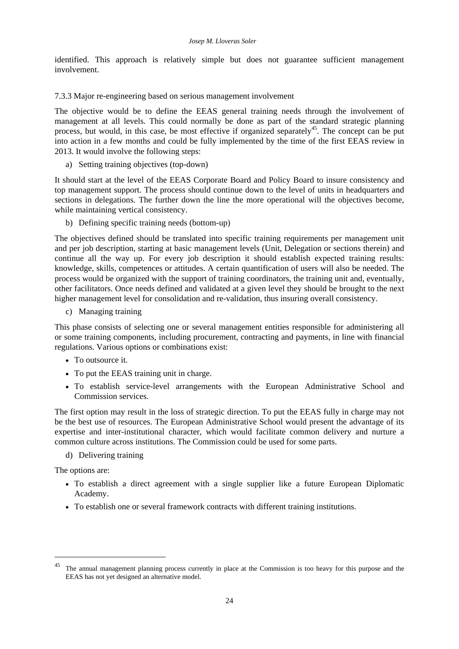identified. This approach is relatively simple but does not guarantee sufficient management involvement.

7.3.3 Major re-engineering based on serious management involvement

The objective would be to define the EEAS general training needs through the involvement of management at all levels. This could normally be done as part of the standard strategic planning process, but would, in this case, be most effective if organized separately<sup>45</sup>. The concept can be put into action in a few months and could be fully implemented by the time of the first EEAS review in 2013. It would involve the following steps:

a) Setting training objectives (top-down)

It should start at the level of the EEAS Corporate Board and Policy Board to insure consistency and top management support. The process should continue down to the level of units in headquarters and sections in delegations. The further down the line the more operational will the objectives become, while maintaining vertical consistency.

b) Defining specific training needs (bottom-up)

The objectives defined should be translated into specific training requirements per management unit and per job description, starting at basic management levels (Unit, Delegation or sections therein) and continue all the way up. For every job description it should establish expected training results: knowledge, skills, competences or attitudes. A certain quantification of users will also be needed. The process would be organized with the support of training coordinators, the training unit and, eventually, other facilitators. Once needs defined and validated at a given level they should be brought to the next higher management level for consolidation and re-validation, thus insuring overall consistency.

c) Managing training

This phase consists of selecting one or several management entities responsible for administering all or some training components, including procurement, contracting and payments, in line with financial regulations. Various options or combinations exist:

- To outsource it.
- To put the EEAS training unit in charge.
- To establish service-level arrangements with the European Administrative School and Commission services.

The first option may result in the loss of strategic direction. To put the EEAS fully in charge may not be the best use of resources. The European Administrative School would present the advantage of its expertise and inter-institutional character, which would facilitate common delivery and nurture a common culture across institutions. The Commission could be used for some parts.

d) Delivering training

The options are:

-

- To establish a direct agreement with a single supplier like a future European Diplomatic Academy.
- To establish one or several framework contracts with different training institutions.

<sup>&</sup>lt;sup>45</sup> The annual management planning process currently in place at the Commission is too heavy for this purpose and the EEAS has not yet designed an alternative model.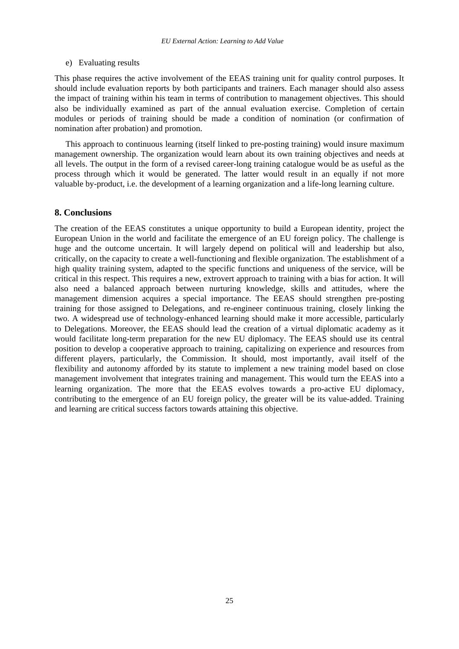## e) Evaluating results

This phase requires the active involvement of the EEAS training unit for quality control purposes. It should include evaluation reports by both participants and trainers. Each manager should also assess the impact of training within his team in terms of contribution to management objectives. This should also be individually examined as part of the annual evaluation exercise. Completion of certain modules or periods of training should be made a condition of nomination (or confirmation of nomination after probation) and promotion.

This approach to continuous learning (itself linked to pre-posting training) would insure maximum management ownership. The organization would learn about its own training objectives and needs at all levels. The output in the form of a revised career-long training catalogue would be as useful as the process through which it would be generated. The latter would result in an equally if not more valuable by-product, i.e. the development of a learning organization and a life-long learning culture.

## **8. Conclusions**

The creation of the EEAS constitutes a unique opportunity to build a European identity, project the European Union in the world and facilitate the emergence of an EU foreign policy. The challenge is huge and the outcome uncertain. It will largely depend on political will and leadership but also, critically, on the capacity to create a well-functioning and flexible organization. The establishment of a high quality training system, adapted to the specific functions and uniqueness of the service, will be critical in this respect. This requires a new, extrovert approach to training with a bias for action. It will also need a balanced approach between nurturing knowledge, skills and attitudes, where the management dimension acquires a special importance. The EEAS should strengthen pre-posting training for those assigned to Delegations, and re-engineer continuous training, closely linking the two. A widespread use of technology-enhanced learning should make it more accessible, particularly to Delegations. Moreover, the EEAS should lead the creation of a virtual diplomatic academy as it would facilitate long-term preparation for the new EU diplomacy. The EEAS should use its central position to develop a cooperative approach to training, capitalizing on experience and resources from different players, particularly, the Commission. It should, most importantly, avail itself of the flexibility and autonomy afforded by its statute to implement a new training model based on close management involvement that integrates training and management. This would turn the EEAS into a learning organization. The more that the EEAS evolves towards a pro-active EU diplomacy, contributing to the emergence of an EU foreign policy, the greater will be its value-added. Training and learning are critical success factors towards attaining this objective.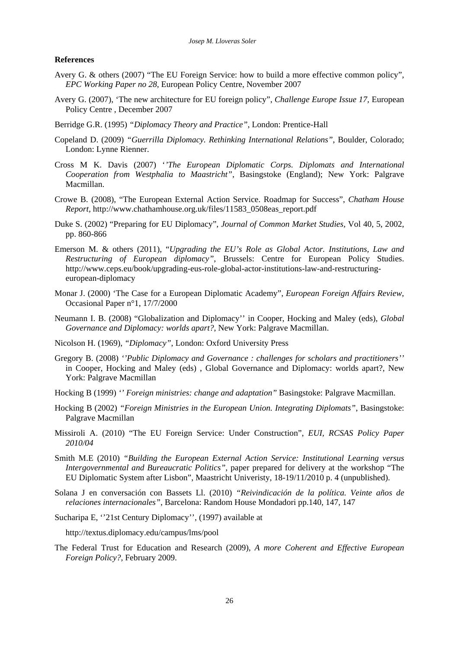#### **References**

- Avery G. & others (2007) "The EU Foreign Service: how to build a more effective common policy", *EPC Working Paper no 28*, European Policy Centre, November 2007
- Avery G. (2007), 'The new architecture for EU foreign policy", *Challenge Europe Issue 17,* European Policy Centre , December 2007
- Berridge G.R. (1995) *"Diplomacy Theory and Practice"*, London: Prentice-Hall
- Copeland D. (2009) *"Guerrilla Diplomacy. Rethinking International Relations"*, Boulder, Colorado; London: Lynne Rienner.
- Cross M K. Davis (2007) '*'The European Diplomatic Corps. Diplomats and International Cooperation from Westphalia to Maastricht"*, Basingstoke (England); New York: Palgrave Macmillan.
- Crowe B. (2008), "The European External Action Service. Roadmap for Success", *Chatham House Report,* [http://www.chathamhouse.org.uk/files/11583\\_0508eas\\_report.pdf](http://www.chathamhouse.org.uk/files/11583_0508eas_report.pdf)
- Duke S. (2002) "Preparing for EU Diplomacy", *Journal of Common Market Studies,* Vol 40, 5, 2002, pp. 860-866
- Emerson M. & others (2011), "*Upgrading the EU's Role as Global Actor. Institutions, Law and Restructuring of European diplomacy"*, Brussels: Centre for European Policy Studies. [http://www.ceps.eu/book/upgrading-eus-role-global-actor-institutions-law-and-restructuring](http://www.ceps.eu/book/upgrading-eus-role-global-actor-institutions-law-and-restructuring-european-26)european-diplomacy
- Monar J. (2000) 'The Case for a European Diplomatic Academy", *European Foreign Affairs Review*, Occasional Paper n°1, 17/7/2000
- Neumann I. B. (2008) "Globalization and Diplomacy'' in Cooper, Hocking and Maley (eds), *Global Governance and Diplomacy: worlds apart?*, New York: Palgrave Macmillan.
- Nicolson H. (1969), *"Diplomacy"*, London: Oxford University Press
- Gregory B. (2008) *''Public Diplomacy and Governance : challenges for scholars and practitioners''* in Cooper, Hocking and Maley (eds) , Global Governance and Diplomacy: worlds apart?, New York: Palgrave Macmillan
- Hocking B (1999) *'' Foreign ministries: change and adaptation"* Basingstoke: Palgrave Macmillan.
- Hocking B (2002) *"Foreign Ministries in the European Union. Integrating Diplomats"*, Basingstoke: Palgrave Macmillan
- Missiroli A. (2010) "The EU Foreign Service: Under Construction", *EUI, RCSAS Policy Paper 2010/04*
- Smith M.E (2010) *"Building the European External Action Service: Institutional Learning versus Intergovernmental and Bureaucratic Politics"*, paper prepared for delivery at the workshop "The EU Diplomatic System after Lisbon", Maastricht Univeristy, 18-19/11/2010 p. 4 (unpublished).
- Solana J en conversación con Bassets Ll. (2010) *"Reivindicación de la política. Veinte años de relaciones internacionales"*, Barcelona: Random House Mondadori pp.140, 147, 147
- Sucharipa E, ''21st Century Diplomacy'', (1997) available at

<http://textus.diplomacy.edu/campus/lms/pool>

The Federal Trust for Education and Research (2009), *A more Coherent and Effective European Foreign Policy?,* February 2009.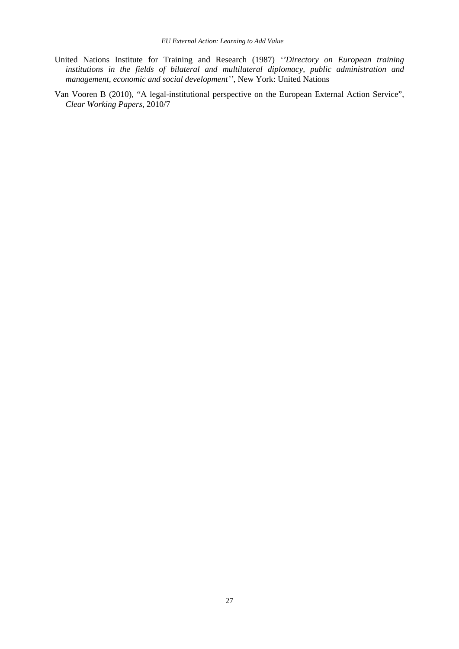- United Nations Institute for Training and Research (1987) *''Directory on European training institutions in the fields of bilateral and multilateral diplomacy, public administration and management, economic and social development''*, New York: United Nations
- Van Vooren B (2010), "A legal-institutional perspective on the European External Action Service", *Clear Working Papers*, 2010/7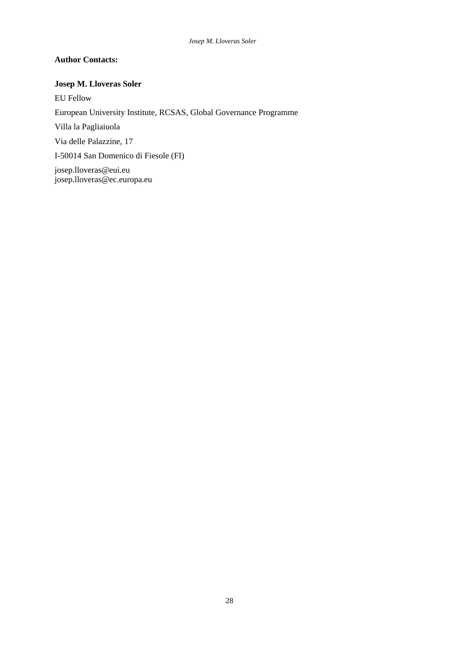# **Author Contacts:**

# **Josep M. Lloveras Soler**

EU Fellow European University Institute, RCSAS, Global Governance Programme Villa la Pagliaiuola Via delle Palazzine, 17 I-50014 San Domenico di Fiesole (FI) [josep.lloveras@eui.eu](mailto:josep.lloveras@eui.eu)  [josep.lloveras@ec.europa.eu](mailto:josep.lloveras@ec.europa.eu)